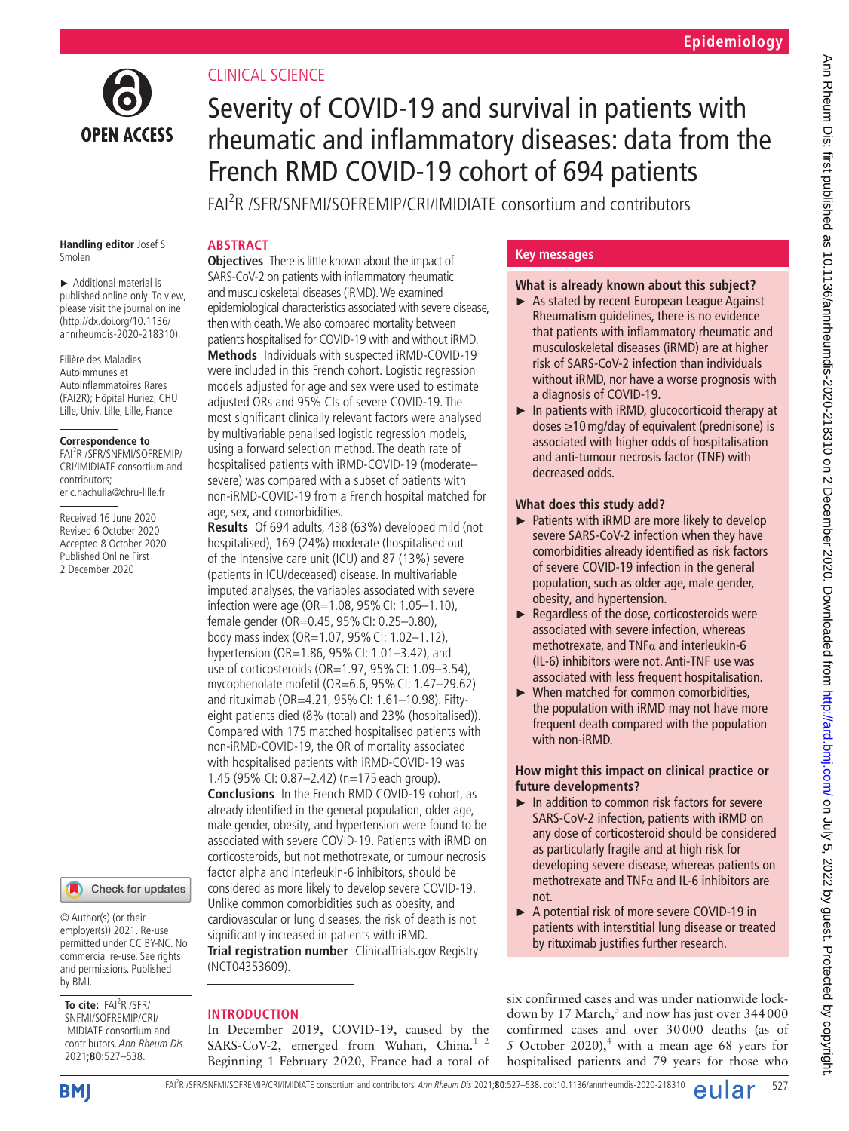

Clinical science

# Severity of COVID-19 and survival in patients with rheumatic and inflammatory diseases: data from the French RMD COVID-19 cohort of 694 patients

FAI<sup>2</sup>R /SFR/SNFMI/SOFREMIP/CRI/IMIDIATE consortium and contributors

#### **Handling editor** Josef S **Abstract**

► Additional material is published online only. To view, please visit the journal online (http://dx.doi.org/10.1136/ annrheumdis-2020-218310).

Smolen

Filière des Maladies Autoimmunes et Autoinflammatoires Rares (FAI2R); Hôpital Huriez, CHU Lille, Univ. Lille, Lille, France

#### **Correspondence to**

FAI<sup>2</sup> R /SFR/SNFMI/SOFREMIP/ CRI/IMIDIATE consortium and contributors; eric.hachulla@chru-lille.fr

Received 16 June 2020 Revised 6 October 2020 Accepted 8 October 2020 Published Online First 2 December 2020



© Author(s) (or their employer(s)) 2021. Re-use permitted under CC BY-NC. No commercial re-use. See rights and permissions. Published by BMJ.

**To cite:**  FAI<sup>2</sup> R /SFR/ SNFMI/SOFREMIP/CRI/ IMIDIATE consortium and contributors. Ann Rheum Dis 2021;**80**:527–538.

**Objectives** There is little known about the impact of SARS-CoV-2 on patients with inflammatory rheumatic and musculoskeletal diseases (iRMD). We examined epidemiological characteristics associated with severe disease, then with death. We also compared mortality between patients hospitalised for COVID-19 with and without iRMD.

**Methods** Individuals with suspected iRMD-COVID-19 were included in this French cohort. Logistic regression models adjusted for age and sex were used to estimate adjusted ORs and 95% CIs of severe COVID-19. The most significant clinically relevant factors were analysed by multivariable penalised logistic regression models, using a forward selection method. The death rate of hospitalised patients with iRMD-COVID-19 (moderate– severe) was compared with a subset of patients with non-iRMD-COVID-19 from a French hospital matched for age, sex, and comorbidities.

**Results** Of 694 adults, 438 (63%) developed mild (not hospitalised), 169 (24%) moderate (hospitalised out of the intensive care unit (ICU) and 87 (13%) severe (patients in ICU/deceased) disease. In multivariable imputed analyses, the variables associated with severe infection were age (OR=1.08, 95%CI: 1.05–1.10), female gender (OR=0.45, 95%CI: 0.25–0.80), body mass index (OR=1.07, 95%CI: 1.02–1.12), hypertension (OR=1.86, 95%CI: 1.01–3.42), and use of corticosteroids (OR=1.97, 95%CI: 1.09–3.54), mycophenolate mofetil (OR=6.6, 95%CI: 1.47–29.62) and rituximab (OR=4.21, 95%CI: 1.61–10.98). Fiftyeight patients died (8% (total) and 23% (hospitalised)). Compared with 175 matched hospitalised patients with non-iRMD-COVID-19, the OR of mortality associated with hospitalised patients with iRMD-COVID-19 was 1.45 (95% CI: 0.87–2.42) (n=175 each group).

**Conclusions** In the French RMD COVID-19 cohort, as already identified in the general population, older age, male gender, obesity, and hypertension were found to be associated with severe COVID-19. Patients with iRMD on corticosteroids, but not methotrexate, or tumour necrosis factor alpha and interleukin-6 inhibitors, should be considered as more likely to develop severe COVID-19. Unlike common comorbidities such as obesity, and cardiovascular or lung diseases, the risk of death is not significantly increased in patients with iRMD.

**Trial registration number** ClinicalTrials.gov Registry (NCT04353609).

# **Introduction**

In December 2019, COVID-19, caused by the SARS-CoV-2, emerged from Wuhan, China.<sup>1 2</sup> Beginning 1 February 2020, France had a total of

# **Key messages**

# **What is already known about this subject?**

- ► As stated by recent European League Against Rheumatism guidelines, there is no evidence that patients with inflammatory rheumatic and musculoskeletal diseases (iRMD) are at higher risk of SARS-CoV-2 infection than individuals without iRMD, nor have a worse prognosis with a diagnosis of COVID-19.
- $\blacktriangleright$  In patients with iRMD, glucocorticoid therapy at doses ≥10mg/day of equivalent (prednisone) is associated with higher odds of hospitalisation and anti-tumour necrosis factor (TNF) with decreased odds.

# **What does this study add?**

- ► Patients with iRMD are more likely to develop severe SARS-CoV-2 infection when they have comorbidities already identified as risk factors of severe COVID-19 infection in the general population, such as older age, male gender, obesity, and hypertension.
- ► Regardless of the dose, corticosteroids were associated with severe infection, whereas methotrexate, and TNFα and interleukin-6 (IL-6) inhibitors were not. Anti-TNF use was associated with less frequent hospitalisation.
- ► When matched for common comorbidities, the population with iRMD may not have more frequent death compared with the population with non-iRMD.

# **How might this impact on clinical practice or future developments?**

- ► In addition to common risk factors for severe SARS-CoV-2 infection, patients with iRMD on any dose of corticosteroid should be considered as particularly fragile and at high risk for developing severe disease, whereas patients on methotrexate and TNF $\alpha$  and IL-6 inhibitors are not.
- ► A potential risk of more severe COVID-19 in patients with interstitial lung disease or treated by rituximab justifies further research.

six confirmed cases and was under nationwide lockdown by 17 March, $3$  and now has just over 344 000 confirmed cases and over 30000 deaths (as of 5 October 2020), $4$  with a mean age 68 years for hospitalised patients and 79 years for those who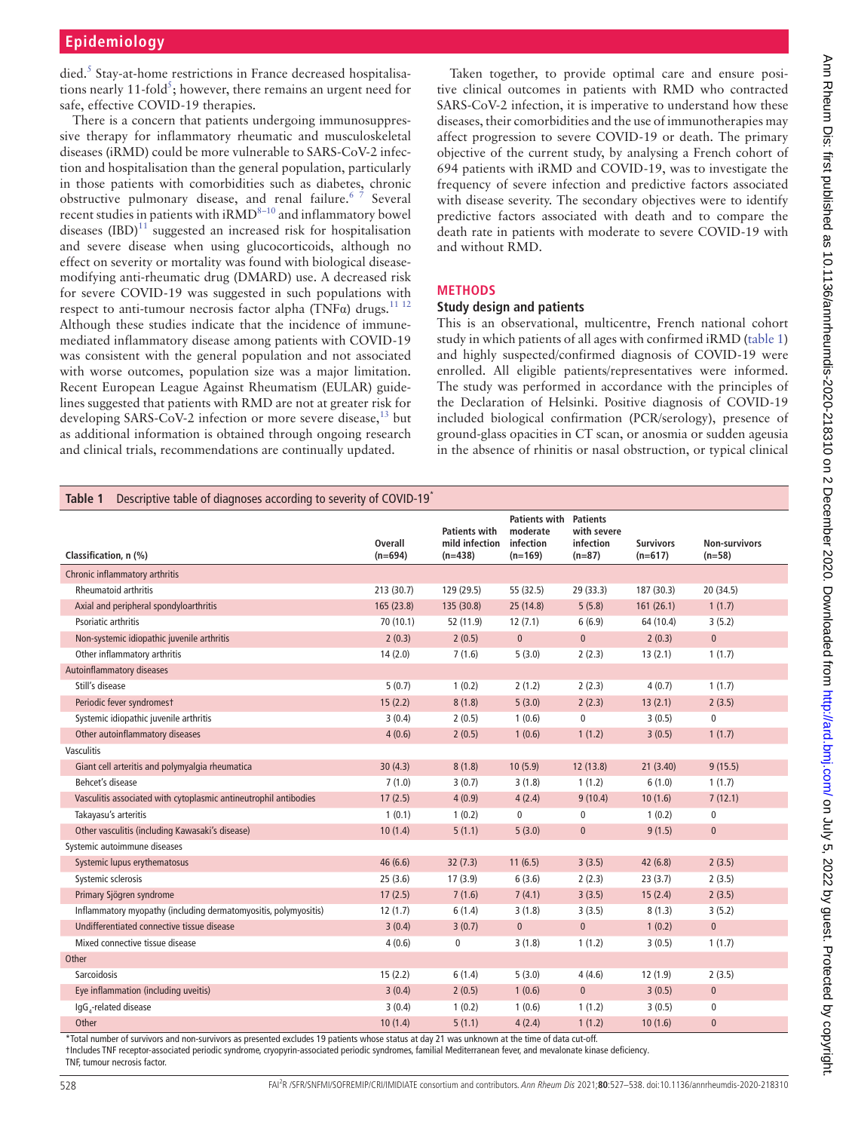died.<sup>5</sup> Stay-at-home restrictions in France decreased hospitalisations nearly 11-fold<sup>5</sup>; however, there remains an urgent need for safe, effective COVID-19 therapies.

There is a concern that patients undergoing immunosuppressive therapy for inflammatory rheumatic and musculoskeletal diseases (iRMD) could be more vulnerable to SARS-CoV-2 infection and hospitalisation than the general population, particularly in those patients with comorbidities such as diabetes, chronic obstructive pulmonary disease, and renal failure.<sup>67</sup> Several recent studies in patients with iRMD<sup>8-10</sup> and inflammatory bowel diseases  $(IBD)^{11}$  suggested an increased risk for hospitalisation and severe disease when using glucocorticoids, although no effect on severity or mortality was found with biological diseasemodifying anti-rheumatic drug (DMARD) use. A decreased risk for severe COVID-19 was suggested in such populations with respect to anti-tumour necrosis factor alpha (TNF $\alpha$ ) drugs.<sup>11 12</sup> Although these studies indicate that the incidence of immunemediated inflammatory disease among patients with COVID-19 was consistent with the general population and not associated with worse outcomes, population size was a major limitation. Recent European League Against Rheumatism (EULAR) guidelines suggested that patients with RMD are not at greater risk for developing SARS-CoV-2 infection or more severe disease, $^{13}$  but as additional information is obtained through ongoing research and clinical trials, recommendations are continually updated.

Taken together, to provide optimal care and ensure positive clinical outcomes in patients with RMD who contracted SARS-CoV-2 infection, it is imperative to understand how these diseases, their comorbidities and the use of immunotherapies may affect progression to severe COVID-19 or death. The primary objective of the current study, by analysing a French cohort of 694 patients with iRMD and COVID-19, was to investigate the frequency of severe infection and predictive factors associated with disease severity. The secondary objectives were to identify predictive factors associated with death and to compare the death rate in patients with moderate to severe COVID-19 with and without RMD.

# **Methods**

# **Study design and patients**

This is an observational, multicentre, French national cohort study in which patients of all ages with confirmed iRMD (table 1) and highly suspected/confirmed diagnosis of COVID-19 were enrolled. All eligible patients/representatives were informed. The study was performed in accordance with the principles of the Declaration of Helsinki. Positive diagnosis of COVID-19 included biological confirmation (PCR/serology), presence of ground-glass opacities in CT scan, or anosmia or sudden ageusia in the absence of rhinitis or nasal obstruction, or typical clinical

| Descriptive table of diagnoses according to severity of COVID-19 <sup>®</sup><br>Table 1 |                             |                                                     |                                                            |                                                         |                               |                                  |
|------------------------------------------------------------------------------------------|-----------------------------|-----------------------------------------------------|------------------------------------------------------------|---------------------------------------------------------|-------------------------------|----------------------------------|
| Classification, n (%)                                                                    | <b>Overall</b><br>$(n=694)$ | <b>Patients with</b><br>mild infection<br>$(n=438)$ | <b>Patients with</b><br>moderate<br>infection<br>$(n=169)$ | <b>Patients</b><br>with severe<br>infection<br>$(n=87)$ | <b>Survivors</b><br>$(n=617)$ | <b>Non-survivors</b><br>$(n=58)$ |
| Chronic inflammatory arthritis                                                           |                             |                                                     |                                                            |                                                         |                               |                                  |
| <b>Rheumatoid arthritis</b>                                                              | 213 (30.7)                  | 129 (29.5)                                          | 55 (32.5)                                                  | 29 (33.3)                                               | 187 (30.3)                    | 20 (34.5)                        |
| Axial and peripheral spondyloarthritis                                                   | 165 (23.8)                  | 135 (30.8)                                          | 25(14.8)                                                   | 5(5.8)                                                  | 161(26.1)                     | 1(1.7)                           |
| Psoriatic arthritis                                                                      | 70 (10.1)                   | 52 (11.9)                                           | 12(7.1)                                                    | 6(6.9)                                                  | 64 (10.4)                     | 3(5.2)                           |
| Non-systemic idiopathic juvenile arthritis                                               | 2(0.3)                      | 2(0.5)                                              | $\mathbf{0}$                                               | $\mathbf 0$                                             | 2(0.3)                        | $\mathbf{0}$                     |
| Other inflammatory arthritis                                                             | 14(2.0)                     | 7(1.6)                                              | 5(3.0)                                                     | 2(2.3)                                                  | 13(2.1)                       | 1(1.7)                           |
| Autoinflammatory diseases                                                                |                             |                                                     |                                                            |                                                         |                               |                                  |
| Still's disease                                                                          | 5(0.7)                      | 1(0.2)                                              | 2(1.2)                                                     | 2(2.3)                                                  | 4(0.7)                        | 1(1.7)                           |
| Periodic fever syndromest                                                                | 15(2.2)                     | 8(1.8)                                              | 5(3.0)                                                     | 2(2.3)                                                  | 13(2.1)                       | 2(3.5)                           |
| Systemic idiopathic juvenile arthritis                                                   | 3(0.4)                      | 2(0.5)                                              | 1(0.6)                                                     | $\mathbf 0$                                             | 3(0.5)                        | $\mathbf 0$                      |
| Other autoinflammatory diseases                                                          | 4(0.6)                      | 2(0.5)                                              | 1(0.6)                                                     | 1(1.2)                                                  | 3(0.5)                        | 1(1.7)                           |
| <b>Vasculitis</b>                                                                        |                             |                                                     |                                                            |                                                         |                               |                                  |
| Giant cell arteritis and polymyalgia rheumatica                                          | 30(4.3)                     | 8(1.8)                                              | 10(5.9)                                                    | 12 (13.8)                                               | 21(3.40)                      | 9(15.5)                          |
| Behcet's disease                                                                         | 7(1.0)                      | 3(0.7)                                              | 3(1.8)                                                     | 1(1.2)                                                  | 6(1.0)                        | 1(1.7)                           |
| Vasculitis associated with cytoplasmic antineutrophil antibodies                         | 17(2.5)                     | 4(0.9)                                              | 4(2.4)                                                     | 9(10.4)                                                 | 10(1.6)                       | 7(12.1)                          |
| Takayasu's arteritis                                                                     | 1(0.1)                      | 1(0.2)                                              | $\mathbf 0$                                                | $\pmb{0}$                                               | 1(0.2)                        | $\mathbf 0$                      |
| Other vasculitis (including Kawasaki's disease)                                          | 10(1.4)                     | 5(1.1)                                              | 5(3.0)                                                     | $\mathbf{0}$                                            | 9(1.5)                        | $\pmb{0}$                        |
| Systemic autoimmune diseases                                                             |                             |                                                     |                                                            |                                                         |                               |                                  |
| Systemic lupus erythematosus                                                             | 46(6.6)                     | 32(7.3)                                             | 11(6.5)                                                    | 3(3.5)                                                  | 42(6.8)                       | 2(3.5)                           |
| Systemic sclerosis                                                                       | 25(3.6)                     | 17(3.9)                                             | 6(3.6)                                                     | 2(2.3)                                                  | 23(3.7)                       | 2(3.5)                           |
| Primary Sjögren syndrome                                                                 | 17(2.5)                     | 7(1.6)                                              | 7(4.1)                                                     | 3(3.5)                                                  | 15(2.4)                       | 2(3.5)                           |
| Inflammatory myopathy (including dermatomyositis, polymyositis)                          | 12(1.7)                     | 6(1.4)                                              | 3(1.8)                                                     | 3(3.5)                                                  | 8(1.3)                        | 3(5.2)                           |
| Undifferentiated connective tissue disease                                               | 3(0.4)                      | 3(0.7)                                              | $\mathbf{0}$                                               | $\pmb{0}$                                               | 1(0.2)                        | $\mathbf{0}$                     |
| Mixed connective tissue disease                                                          | 4(0.6)                      | $\pmb{0}$                                           | 3(1.8)                                                     | 1(1.2)                                                  | 3(0.5)                        | 1(1.7)                           |
| Other                                                                                    |                             |                                                     |                                                            |                                                         |                               |                                  |
| Sarcoidosis                                                                              | 15(2.2)                     | 6(1.4)                                              | 5(3.0)                                                     | 4(4.6)                                                  | 12(1.9)                       | 2(3.5)                           |
| Eye inflammation (including uveitis)                                                     | 3(0.4)                      | 2(0.5)                                              | 1(0.6)                                                     | $\mathbf 0$                                             | 3(0.5)                        | $\pmb{0}$                        |
| IgG related disease                                                                      | 3(0.4)                      | 1(0.2)                                              | 1(0.6)                                                     | 1(1.2)                                                  | 3(0.5)                        | $\pmb{0}$                        |
| Other                                                                                    | 10(1.4)                     | 5(1.1)                                              | 4(2.4)                                                     | 1(1.2)                                                  | 10(1.6)                       | $\mathbf{0}$                     |

\*Total number of survivors and non-survivors as presented excludes 19 patients whose status at day 21 was unknown at the time of data cut-off. †Includes TNF receptor-associated periodic syndrome, cryopyrin-associated periodic syndromes, familial Mediterranean fever, and mevalonate kinase deficiency. TNF, tumour necrosis factor.

Ann Rheum Dis: first published as 10.1136/annheumdis-2020-218310 on 2 December 2020. Downloaded from http://ard.brnj.com/ on July 5, 2022 by guest. Protected by copyright Ann Dis: first published as 10.1136/annrheumdis-2020 on 2 December 2020. Downloaded from <http://ard.bmj.com/> on July 5, 2022 by guest. Protected by copyright.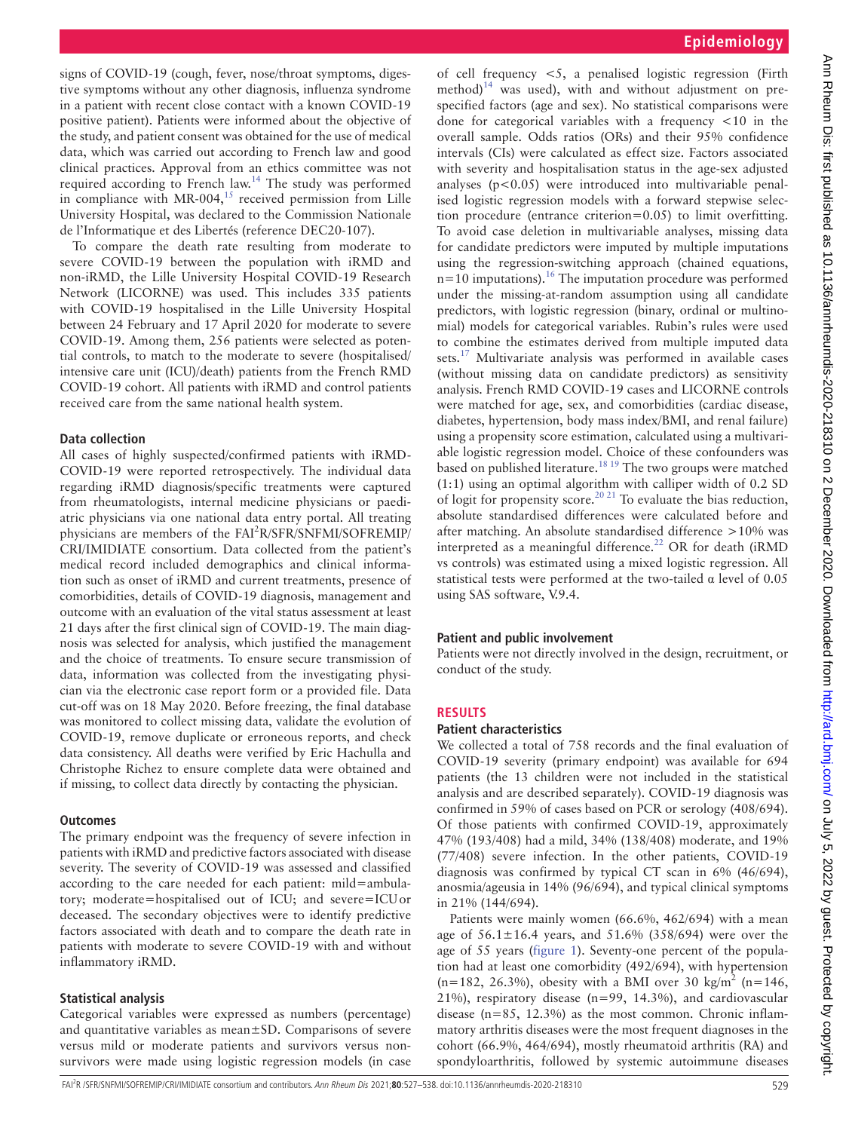signs of COVID-19 (cough, fever, nose/throat symptoms, digestive symptoms without any other diagnosis, influenza syndrome in a patient with recent close contact with a known COVID-19 positive patient). Patients were informed about the objective of the study, and patient consent was obtained for the use of medical data, which was carried out according to French law and good clinical practices. Approval from an ethics committee was not required according to French law.14 The study was performed in compliance with  $MR-004$ ,<sup>15</sup> received permission from Lille University Hospital, was declared to the Commission Nationale de l'Informatique et des Libertés (reference DEC20-107).

To compare the death rate resulting from moderate to severe COVID-19 between the population with iRMD and non-iRMD, the Lille University Hospital COVID-19 Research Network (LICORNE) was used. This includes 335 patients with COVID-19 hospitalised in the Lille University Hospital between 24 February and 17 April 2020 for moderate to severe COVID-19. Among them, 256 patients were selected as potential controls, to match to the moderate to severe (hospitalised/ intensive care unit (ICU)/death) patients from the French RMD COVID-19 cohort. All patients with iRMD and control patients received care from the same national health system.

#### **Data collection**

All cases of highly suspected/confirmed patients with iRMD-COVID-19 were reported retrospectively. The individual data regarding iRMD diagnosis/specific treatments were captured from rheumatologists, internal medicine physicians or paediatric physicians via one national data entry portal. All treating physicians are members of the FAI<sup>2</sup>R/SFR/SNFMI/SOFREMIP/ CRI/IMIDIATE consortium. Data collected from the patient's medical record included demographics and clinical information such as onset of iRMD and current treatments, presence of comorbidities, details of COVID-19 diagnosis, management and outcome with an evaluation of the vital status assessment at least 21 days after the first clinical sign of COVID-19. The main diagnosis was selected for analysis, which justified the management and the choice of treatments. To ensure secure transmission of data, information was collected from the investigating physician via the electronic case report form or a provided file. Data cut-off was on 18 May 2020. Before freezing, the final database was monitored to collect missing data, validate the evolution of COVID-19, remove duplicate or erroneous reports, and check data consistency. All deaths were verified by Eric Hachulla and Christophe Richez to ensure complete data were obtained and if missing, to collect data directly by contacting the physician.

## **Outcomes**

The primary endpoint was the frequency of severe infection in patients with iRMD and predictive factors associated with disease severity. The severity of COVID-19 was assessed and classified according to the care needed for each patient: mild=ambulatory; moderate=hospitalised out of ICU; and severe=ICUor deceased. The secondary objectives were to identify predictive factors associated with death and to compare the death rate in patients with moderate to severe COVID-19 with and without inflammatory iRMD.

## **Statistical analysis**

Categorical variables were expressed as numbers (percentage) and quantitative variables as mean±SD. Comparisons of severe versus mild or moderate patients and survivors versus nonsurvivors were made using logistic regression models (in case

of cell frequency <5, a penalised logistic regression (Firth method) $14$  was used), with and without adjustment on prespecified factors (age and sex). No statistical comparisons were done for categorical variables with a frequency <10 in the overall sample. Odds ratios (ORs) and their 95% confidence intervals (CIs) were calculated as effect size. Factors associated with severity and hospitalisation status in the age-sex adjusted analyses  $(p<0.05)$  were introduced into multivariable penalised logistic regression models with a forward stepwise selection procedure (entrance criterion=0.05) to limit overfitting. To avoid case deletion in multivariable analyses, missing data for candidate predictors were imputed by multiple imputations using the regression-switching approach (chained equations,  $n=10$  imputations).<sup>16</sup> The imputation procedure was performed under the missing-at-random assumption using all candidate predictors, with logistic regression (binary, ordinal or multinomial) models for categorical variables. Rubin's rules were used to combine the estimates derived from multiple imputed data sets.<sup>17</sup> Multivariate analysis was performed in available cases (without missing data on candidate predictors) as sensitivity analysis. French RMD COVID-19 cases and LICORNE controls were matched for age, sex, and comorbidities (cardiac disease, diabetes, hypertension, body mass index/BMI, and renal failure) using a propensity score estimation, calculated using a multivariable logistic regression model. Choice of these confounders was based on published literature.<sup>18 19</sup> The two groups were matched (1:1) using an optimal algorithm with calliper width of 0.2 SD of logit for propensity score.<sup>20 21</sup> To evaluate the bias reduction, absolute standardised differences were calculated before and after matching. An absolute standardised difference >10% was interpreted as a meaningful difference.<sup>22</sup> OR for death (iRMD) vs controls) was estimated using a mixed logistic regression. All statistical tests were performed at the two-tailed  $\alpha$  level of 0.05 using SAS software, V.9.4.

# **Patient and public involvement**

Patients were not directly involved in the design, recruitment, or conduct of the study.

# **Results**

# **Patient characteristics**

We collected a total of 758 records and the final evaluation of COVID-19 severity (primary endpoint) was available for 694 patients (the 13 children were not included in the statistical analysis and are described separately). COVID-19 diagnosis was confirmed in 59% of cases based on PCR or serology (408/694). Of those patients with confirmed COVID-19, approximately 47% (193/408) had a mild, 34% (138/408) moderate, and 19% (77/408) severe infection. In the other patients, COVID-19 diagnosis was confirmed by typical CT scan in 6% (46/694), anosmia/ageusia in 14% (96/694), and typical clinical symptoms in 21% (144/694).

Patients were mainly women (66.6%, 462/694) with a mean age of  $56.1 \pm 16.4$  years, and  $51.6\%$  (358/694) were over the age of 55 years (figure 1). Seventy-one percent of the population had at least one comorbidity (492/694), with hypertension  $(n=182, 26.3\%)$ , obesity with a BMI over 30 kg/m<sup>2</sup> (n=146, 21%), respiratory disease (n=99, 14.3%), and cardiovascular disease (n=85, 12.3%) as the most common. Chronic inflammatory arthritis diseases were the most frequent diagnoses in the cohort (66.9%, 464/694), mostly rheumatoid arthritis (RA) and spondyloarthritis, followed by systemic autoimmune diseases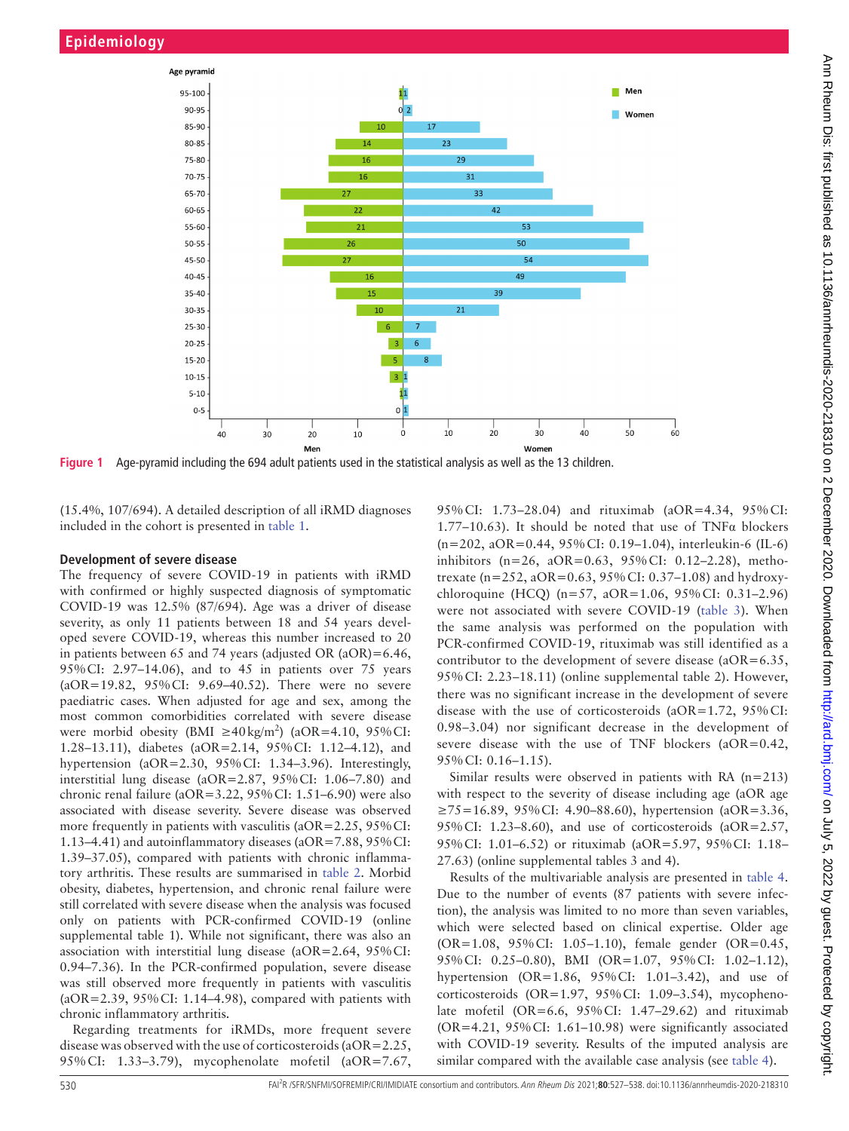

(15.4%, 107/694). A detailed description of all iRMD diagnoses included in the cohort is presented in table 1.

# **Development of severe disease**

The frequency of severe COVID-19 in patients with iRMD with confirmed or highly suspected diagnosis of symptomatic COVID-19 was 12.5% (87/694). Age was a driver of disease severity, as only 11 patients between 18 and 54 years developed severe COVID-19, whereas this number increased to 20 in patients between 65 and 74 years (adjusted OR (aOR)=6.46, 95%CI: 2.97–14.06), and to 45 in patients over 75 years (aOR=19.82, 95%CI: 9.69–40.52). There were no severe paediatric cases. When adjusted for age and sex, among the most common comorbidities correlated with severe disease were morbid obesity (BMI  $\geq 40 \text{ kg/m}^2$ ) (aOR=4.10, 95% CI: 1.28–13.11), diabetes (aOR=2.14, 95%CI: 1.12–4.12), and hypertension (aOR=2.30, 95%CI: 1.34–3.96). Interestingly, interstitial lung disease (aOR=2.87, 95%CI: 1.06–7.80) and chronic renal failure (aOR=3.22, 95%CI: 1.51–6.90) were also associated with disease severity. Severe disease was observed more frequently in patients with vasculitis (aOR=2.25, 95%CI: 1.13–4.41) and autoinflammatory diseases (aOR=7.88, 95%CI: 1.39–37.05), compared with patients with chronic inflammatory arthritis. These results are summarised in table 2. Morbid obesity, diabetes, hypertension, and chronic renal failure were still correlated with severe disease when the analysis was focused only on patients with PCR-confirmed COVID-19 (online supplemental table 1). While not significant, there was also an association with interstitial lung disease (aOR=2.64, 95%CI: 0.94–7.36). In the PCR-confirmed population, severe disease was still observed more frequently in patients with vasculitis (aOR=2.39, 95%CI: 1.14–4.98), compared with patients with chronic inflammatory arthritis.

Regarding treatments for iRMDs, more frequent severe disease was observed with the use of corticosteroids (aOR=2.25, 95%CI: 1.33–3.79), mycophenolate mofetil (aOR=7.67,

95%CI: 1.73–28.04) and rituximab (aOR=4.34, 95%CI: 1.77–10.63). It should be noted that use of TNF $\alpha$  blockers (n=202, aOR=0.44, 95%CI: 0.19–1.04), interleukin-6 (IL-6) inhibitors (n=26, aOR=0.63, 95%CI: 0.12–2.28), methotrexate (n=252, aOR=0.63, 95%CI: 0.37–1.08) and hydroxychloroquine (HCQ) (n=57, aOR=1.06, 95%CI: 0.31–2.96) were not associated with severe COVID-19 (table 3). When the same analysis was performed on the population with PCR-confirmed COVID-19, rituximab was still identified as a contributor to the development of severe disease (aOR=6.35, 95%CI: 2.23–18.11) (online supplemental table 2). However, there was no significant increase in the development of severe disease with the use of corticosteroids (aOR=1.72, 95%CI: 0.98–3.04) nor significant decrease in the development of severe disease with the use of TNF blockers (aOR=0.42, 95%CI: 0.16–1.15).

Similar results were observed in patients with RA  $(n=213)$ with respect to the severity of disease including age (aOR age ≥75=16.89, 95%CI: 4.90–88.60), hypertension (aOR=3.36, 95%CI: 1.23–8.60), and use of corticosteroids (aOR=2.57, 95%CI: 1.01–6.52) or rituximab (aOR=5.97, 95%CI: 1.18– 27.63) (online supplemental tables 3 and 4).

Results of the multivariable analysis are presented in table 4. Due to the number of events (87 patients with severe infection), the analysis was limited to no more than seven variables, which were selected based on clinical expertise. Older age (OR=1.08, 95%CI: 1.05–1.10), female gender (OR=0.45, 95%CI: 0.25–0.80), BMI (OR=1.07, 95%CI: 1.02–1.12), hypertension (OR=1.86, 95%CI: 1.01–3.42), and use of corticosteroids (OR=1.97, 95%CI: 1.09–3.54), mycophenolate mofetil (OR=6.6,  $95\%$ CI: 1.47-29.62) and rituximab (OR=4.21, 95%CI: 1.61–10.98) were significantly associated with COVID-19 severity. Results of the imputed analysis are similar compared with the available case analysis (see table 4).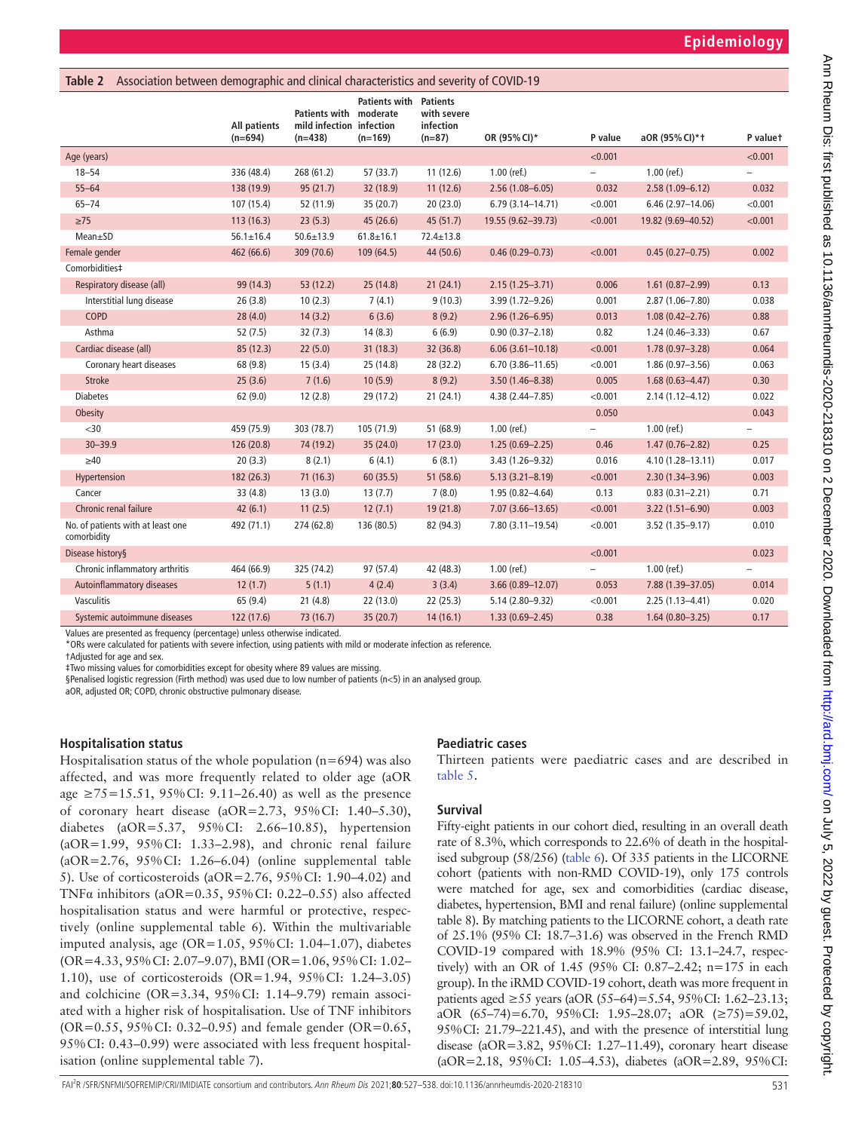| Table 2<br>Association between demographic and clinical characteristics and severity of COVID-19 |                           |                                                                 |                                            |                                      |                      |                          |                     |                          |
|--------------------------------------------------------------------------------------------------|---------------------------|-----------------------------------------------------------------|--------------------------------------------|--------------------------------------|----------------------|--------------------------|---------------------|--------------------------|
|                                                                                                  | All patients<br>$(n=694)$ | Patients with moderate<br>mild infection infection<br>$(n=438)$ | <b>Patients with Patients</b><br>$(n=169)$ | with severe<br>infection<br>$(n=87)$ | OR (95% CI)*         | P value                  | aOR (95% CI)*1      | P valuet                 |
| Age (years)                                                                                      |                           |                                                                 |                                            |                                      |                      | < 0.001                  |                     | < 0.001                  |
| $18 - 54$                                                                                        | 336 (48.4)                | 268 (61.2)                                                      | 57(33.7)                                   | 11(12.6)                             | $1.00$ (ref.)        | $\overline{\phantom{0}}$ | $1.00$ (ref.)       | $\overline{\phantom{0}}$ |
| $55 - 64$                                                                                        | 138 (19.9)                | 95(21.7)                                                        | 32 (18.9)                                  | 11(12.6)                             | $2.56(1.08 - 6.05)$  | 0.032                    | $2.58(1.09 - 6.12)$ | 0.032                    |
| $65 - 74$                                                                                        | 107(15.4)                 | 52 (11.9)                                                       | 35 (20.7)                                  | 20(23.0)                             | 6.79 (3.14-14.71)    | < 0.001                  | 6.46 (2.97-14.06)   | < 0.001                  |
| $\geq$ 75                                                                                        | 113(16.3)                 | 23(5.3)                                                         | 45(26.6)                                   | 45(51.7)                             | 19.55 (9.62-39.73)   | < 0.001                  | 19.82 (9.69-40.52)  | < 0.001                  |
| $Mean \pm SD$                                                                                    | $56.1 \pm 16.4$           | $50.6 \pm 13.9$                                                 | $61.8 \pm 16.1$                            | 72.4±13.8                            |                      |                          |                     |                          |
| Female gender                                                                                    | 462 (66.6)                | 309 (70.6)                                                      | 109(64.5)                                  | 44 (50.6)                            | $0.46(0.29 - 0.73)$  | < 0.001                  | $0.45(0.27 - 0.75)$ | 0.002                    |
| Comorbidities‡                                                                                   |                           |                                                                 |                                            |                                      |                      |                          |                     |                          |
| Respiratory disease (all)                                                                        | 99 (14.3)                 | 53(12.2)                                                        | 25(14.8)                                   | 21(24.1)                             | $2.15(1.25 - 3.71)$  | 0.006                    | $1.61(0.87 - 2.99)$ | 0.13                     |
| Interstitial lung disease                                                                        | 26(3.8)                   | 10(2.3)                                                         | 7(4.1)                                     | 9(10.3)                              | 3.99 (1.72-9.26)     | 0.001                    | $2.87(1.06 - 7.80)$ | 0.038                    |
| <b>COPD</b>                                                                                      | 28(4.0)                   | 14(3.2)                                                         | 6(3.6)                                     | 8(9.2)                               | $2.96(1.26 - 6.95)$  | 0.013                    | $1.08(0.42 - 2.76)$ | 0.88                     |
| Asthma                                                                                           | 52(7.5)                   | 32(7.3)                                                         | 14(8.3)                                    | 6(6.9)                               | $0.90(0.37 - 2.18)$  | 0.82                     | $1.24(0.46 - 3.33)$ | 0.67                     |
| Cardiac disease (all)                                                                            | 85 (12.3)                 | 22(5.0)                                                         | 31(18.3)                                   | 32 (36.8)                            | $6.06(3.61 - 10.18)$ | < 0.001                  | $1.78(0.97 - 3.28)$ | 0.064                    |
| Coronary heart diseases                                                                          | 68 (9.8)                  | 15(3.4)                                                         | 25 (14.8)                                  | 28 (32.2)                            | $6.70(3.86 - 11.65)$ | < 0.001                  | $1.86(0.97 - 3.56)$ | 0.063                    |
| <b>Stroke</b>                                                                                    | 25(3.6)                   | 7(1.6)                                                          | 10(5.9)                                    | 8(9.2)                               | $3.50(1.46 - 8.38)$  | 0.005                    | $1.68(0.63 - 4.47)$ | 0.30                     |
| <b>Diabetes</b>                                                                                  | 62(9.0)                   | 12(2.8)                                                         | 29 (17.2)                                  | 21(24.1)                             | 4.38 (2.44-7.85)     | < 0.001                  | $2.14(1.12 - 4.12)$ | 0.022                    |
| Obesity                                                                                          |                           |                                                                 |                                            |                                      |                      | 0.050                    |                     | 0.043                    |
| $30$                                                                                             | 459 (75.9)                | 303 (78.7)                                                      | 105 (71.9)                                 | 51 (68.9)                            | $1.00$ (ref.)        |                          | $1.00$ (ref.)       |                          |
| $30 - 39.9$                                                                                      | 126 (20.8)                | 74 (19.2)                                                       | 35(24.0)                                   | 17(23.0)                             | $1.25(0.69 - 2.25)$  | 0.46                     | $1.47(0.76 - 2.82)$ | 0.25                     |
| $\geq 40$                                                                                        | 20(3.3)                   | 8(2.1)                                                          | 6(4.1)                                     | 6(8.1)                               | $3.43(1.26 - 9.32)$  | 0.016                    | 4.10 (1.28-13.11)   | 0.017                    |
| Hypertension                                                                                     | 182 (26.3)                | 71(16.3)                                                        | 60(35.5)                                   | 51 (58.6)                            | $5.13(3.21 - 8.19)$  | < 0.001                  | $2.30(1.34 - 3.96)$ | 0.003                    |
| Cancer                                                                                           | 33(4.8)                   | 13(3.0)                                                         | 13(7.7)                                    | 7(8.0)                               | 1.95 (0.82-4.64)     | 0.13                     | $0.83(0.31 - 2.21)$ | 0.71                     |
| Chronic renal failure                                                                            | 42(6.1)                   | 11(2.5)                                                         | 12(7.1)                                    | 19(21.8)                             | 7.07 (3.66-13.65)    | < 0.001                  | $3.22(1.51 - 6.90)$ | 0.003                    |
| No. of patients with at least one<br>comorbidity                                                 | 492 (71.1)                | 274 (62.8)                                                      | 136 (80.5)                                 | 82 (94.3)                            | 7.80 (3.11-19.54)    | < 0.001                  | $3.52(1.35 - 9.17)$ | 0.010                    |
| Disease history§                                                                                 |                           |                                                                 |                                            |                                      |                      | < 0.001                  |                     | 0.023                    |
| Chronic inflammatory arthritis                                                                   | 464 (66.9)                | 325 (74.2)                                                      | 97 (57.4)                                  | 42 (48.3)                            | $1.00$ (ref.)        |                          | $1.00$ (ref.)       |                          |
| Autoinflammatory diseases                                                                        | 12(1.7)                   | 5(1.1)                                                          | 4(2.4)                                     | 3(3.4)                               | 3.66 (0.89-12.07)    | 0.053                    | 7.88 (1.39-37.05)   | 0.014                    |
| Vasculitis                                                                                       | 65 (9.4)                  | 21(4.8)                                                         | 22 (13.0)                                  | 22(25.3)                             | $5.14(2.80 - 9.32)$  | < 0.001                  | $2.25(1.13 - 4.41)$ | 0.020                    |
| Systemic autoimmune diseases                                                                     | 122 (17.6)                | 73 (16.7)                                                       | 35 (20.7)                                  | 14(16.1)                             | $1.33(0.69 - 2.45)$  | 0.38                     | $1.64(0.80 - 3.25)$ | 0.17                     |

\*ORs were calculated for patients with severe infection, using patients with mild or moderate infection as reference.

†Adjusted for age and sex.

‡Two missing values for comorbidities except for obesity where 89 values are missing.

§Penalised logistic regression (Firth method) was used due to low number of patients (n<5) in an analysed group.

aOR, adjusted OR; COPD, chronic obstructive pulmonary disease.

#### **Hospitalisation status**

Hospitalisation status of the whole population  $(n=694)$  was also affected, and was more frequently related to older age (aOR age ≥75=15.51, 95% CI: 9.11–26.40) as well as the presence of coronary heart disease (aOR=2.73, 95%CI: 1.40–5.30), diabetes (aOR=5.37, 95%CI: 2.66–10.85), hypertension (aOR=1.99, 95%CI: 1.33–2.98), and chronic renal failure (aOR=2.76, 95%CI: 1.26–6.04) (online supplemental table 5). Use of corticosteroids (aOR=2.76, 95%CI: 1.90–4.02) and TNFα inhibitors (aOR=0.35, 95%CI: 0.22–0.55) also affected hospitalisation status and were harmful or protective, respectively (online supplemental table 6). Within the multivariable imputed analysis, age (OR=1.05, 95%CI: 1.04–1.07), diabetes (OR=4.33, 95%CI: 2.07–9.07), BMI (OR=1.06, 95%CI: 1.02– 1.10), use of corticosteroids (OR=1.94, 95%CI: 1.24–3.05) and colchicine (OR=3.34, 95%CI: 1.14–9.79) remain associated with a higher risk of hospitalisation. Use of TNF inhibitors (OR=0.55, 95%CI: 0.32–0.95) and female gender (OR=0.65, 95%CI: 0.43–0.99) were associated with less frequent hospitalisation (online supplemental table 7).

#### **Paediatric cases**

Thirteen patients were paediatric cases and are described in table 5.

#### **Survival**

Fifty-eight patients in our cohort died, resulting in an overall death rate of 8.3%, which corresponds to 22.6% of death in the hospitalised subgroup (58/256) (table 6). Of 335 patients in the LICORNE cohort (patients with non-RMD COVID-19), only 175 controls were matched for age, sex and comorbidities (cardiac disease, diabetes, hypertension, BMI and renal failure) (online supplemental table 8). By matching patients to the LICORNE cohort, a death rate of 25.1% (95% CI: 18.7–31.6) was observed in the French RMD COVID-19 compared with 18.9% (95% CI: 13.1–24.7, respectively) with an OR of 1.45 (95% CI: 0.87–2.42; n=175 in each group). In the iRMD COVID-19 cohort, death was more frequent in patients aged ≥55 years (aOR  $(55–64)=5.54$ , 95%CI: 1.62–23.13; aOR  $(65-74)=6.70$ ,  $95\%$ CI:  $1.95-28.07$ ;  $aOR$   $(\geq 75)=59.02$ , 95%CI: 21.79–221.45), and with the presence of interstitial lung disease (aOR=3.82, 95%CI: 1.27–11.49), coronary heart disease (aOR=2.18, 95%CI: 1.05–4.53), diabetes (aOR=2.89, 95%CI: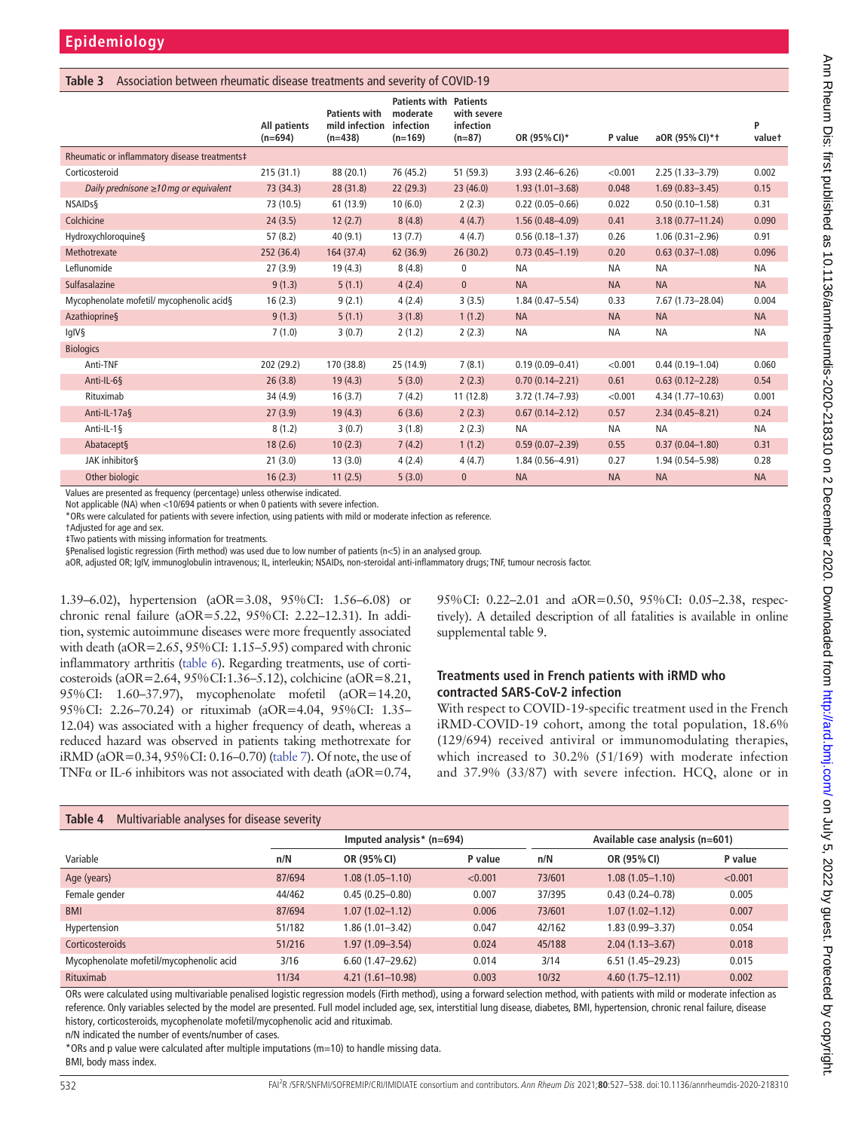| <b>Patients with Patients</b><br><b>Patients with</b><br>moderate<br>with severe<br>P<br><b>All patients</b><br>mild infection<br>infection<br>infection<br>OR (95% CI)*<br>aOR (95% CI)*+<br>$(n=694)$<br>$(n=438)$<br>$(n=169)$<br>$(n=87)$<br>P value<br>valuet<br>Rheumatic or inflammatory disease treatments‡<br>Corticosteroid<br>215(31.1)<br>88 (20.1)<br>76 (45.2)<br>51 (59.3)<br>< 0.001<br>0.002<br>$3.93(2.46 - 6.26)$<br>$2.25(1.33 - 3.79)$<br>Daily prednisone $\geq 10$ mg or equivalent<br>28 (31.8)<br>22(29.3)<br>0.048<br>$1.69(0.83 - 3.45)$<br>0.15<br>73 (34.3)<br>23(46.0)<br>$1.93(1.01 - 3.68)$<br>61 (13.9)<br>10(6.0)<br>0.022<br>$0.50(0.10-1.58)$<br>0.31<br><b>NSAIDs§</b><br>73 (10.5)<br>2(2.3)<br>$0.22(0.05 - 0.66)$<br>Colchicine<br>8(4.8)<br>4(4.7)<br>0.41<br>24(3.5)<br>12(2.7)<br>$1.56(0.48 - 4.09)$<br>$3.18(0.77 - 11.24)$<br>0.090<br>0.91<br>Hydroxychloroquine§<br>57(8.2)<br>40(9.1)<br>13(7.7)<br>4(4.7)<br>0.26<br>$1.06(0.31 - 2.96)$<br>$0.56(0.18 - 1.37)$<br>Methotrexate<br>252 (36.4)<br>164(37.4)<br>62 (36.9)<br>26(30.2)<br>0.20<br>0.096<br>$0.73(0.45 - 1.19)$<br>$0.63(0.37-1.08)$<br>Leflunomide<br>8(4.8)<br>27(3.9)<br>19(4.3)<br>0<br><b>NA</b><br><b>NA</b><br><b>NA</b><br>NA<br>9(1.3)<br>Sulfasalazine<br>5(1.1)<br>4(2.4)<br>$\mathbf{0}$<br><b>NA</b><br><b>NA</b><br><b>NA</b><br><b>NA</b><br>Mycophenolate mofetil/ mycophenolic acid§<br>16(2.3)<br>9(2.1)<br>4(2.4)<br>3(3.5)<br>$1.84(0.47 - 5.54)$<br>0.33<br>0.004<br>7.67 (1.73-28.04)<br><b>Azathioprine§</b><br>9(1.3)<br>3(1.8)<br>5(1.1)<br>1(1.2)<br><b>NA</b><br><b>NA</b><br><b>NA</b><br><b>NA</b><br>$IqIV\$<br>7(1.0)<br>3(0.7)<br>2(1.2)<br>2(2.3)<br><b>NA</b><br><b>NA</b><br><b>NA</b><br>NA<br><b>Biologics</b><br>Anti-TNF<br>202 (29.2)<br>170 (38.8)<br>25 (14.9)<br>7(8.1)<br>< 0.001<br>$0.44(0.19 - 1.04)$<br>0.060<br>$0.19(0.09 - 0.41)$<br>5(3.0)<br>0.61<br>0.54<br>Anti-IL-6§<br>26(3.8)<br>19(4.3)<br>2(2.3)<br>$0.63(0.12 - 2.28)$<br>$0.70(0.14 - 2.21)$<br>Rituximab<br>34 (4.9)<br>16(3.7)<br>7(4.2)<br>11(12.8)<br>< 0.001<br>4.34 (1.77-10.63)<br>0.001<br>3.72 (1.74-7.93)<br>6(3.6)<br>0.57<br>0.24<br>Anti-IL-17a§<br>27(3.9)<br>19(4.3)<br>2(2.3)<br>$2.34(0.45 - 8.21)$<br>$0.67(0.14 - 2.12)$<br>8(1.2)<br>Anti-IL-1§<br>3(0.7)<br>3(1.8)<br>2(2.3)<br><b>NA</b><br><b>NA</b><br>NA<br><b>NA</b><br>7(4.2)<br>1(1.2)<br>0.55<br>$0.37(0.04 - 1.80)$<br>0.31<br>Abatacept§<br>18(2.6)<br>10(2.3)<br>$0.59(0.07 - 2.39)$<br>JAK inhibitor§<br>4(2.4)<br>4(4.7)<br>21(3.0)<br>13(3.0)<br>$1.84(0.56 - 4.91)$<br>0.27<br>1.94 (0.54-5.98)<br>0.28<br>Other biologic<br>16(2.3)<br>11(2.5)<br>5(3.0)<br><b>NA</b><br><b>NA</b><br><b>NA</b><br>$\mathbf{0}$<br><b>NA</b> | Table 3<br>Association between rheumatic disease treatments and severity of COVID-19 |  |  |  |  |
|-----------------------------------------------------------------------------------------------------------------------------------------------------------------------------------------------------------------------------------------------------------------------------------------------------------------------------------------------------------------------------------------------------------------------------------------------------------------------------------------------------------------------------------------------------------------------------------------------------------------------------------------------------------------------------------------------------------------------------------------------------------------------------------------------------------------------------------------------------------------------------------------------------------------------------------------------------------------------------------------------------------------------------------------------------------------------------------------------------------------------------------------------------------------------------------------------------------------------------------------------------------------------------------------------------------------------------------------------------------------------------------------------------------------------------------------------------------------------------------------------------------------------------------------------------------------------------------------------------------------------------------------------------------------------------------------------------------------------------------------------------------------------------------------------------------------------------------------------------------------------------------------------------------------------------------------------------------------------------------------------------------------------------------------------------------------------------------------------------------------------------------------------------------------------------------------------------------------------------------------------------------------------------------------------------------------------------------------------------------------------------------------------------------------------------------------------------------------------------------------------------------------------------------------------------------------------------------------------------------------------------------------------------------------------------------------------------------------------------------------------|--------------------------------------------------------------------------------------|--|--|--|--|
|                                                                                                                                                                                                                                                                                                                                                                                                                                                                                                                                                                                                                                                                                                                                                                                                                                                                                                                                                                                                                                                                                                                                                                                                                                                                                                                                                                                                                                                                                                                                                                                                                                                                                                                                                                                                                                                                                                                                                                                                                                                                                                                                                                                                                                                                                                                                                                                                                                                                                                                                                                                                                                                                                                                                               |                                                                                      |  |  |  |  |
|                                                                                                                                                                                                                                                                                                                                                                                                                                                                                                                                                                                                                                                                                                                                                                                                                                                                                                                                                                                                                                                                                                                                                                                                                                                                                                                                                                                                                                                                                                                                                                                                                                                                                                                                                                                                                                                                                                                                                                                                                                                                                                                                                                                                                                                                                                                                                                                                                                                                                                                                                                                                                                                                                                                                               |                                                                                      |  |  |  |  |
|                                                                                                                                                                                                                                                                                                                                                                                                                                                                                                                                                                                                                                                                                                                                                                                                                                                                                                                                                                                                                                                                                                                                                                                                                                                                                                                                                                                                                                                                                                                                                                                                                                                                                                                                                                                                                                                                                                                                                                                                                                                                                                                                                                                                                                                                                                                                                                                                                                                                                                                                                                                                                                                                                                                                               |                                                                                      |  |  |  |  |
|                                                                                                                                                                                                                                                                                                                                                                                                                                                                                                                                                                                                                                                                                                                                                                                                                                                                                                                                                                                                                                                                                                                                                                                                                                                                                                                                                                                                                                                                                                                                                                                                                                                                                                                                                                                                                                                                                                                                                                                                                                                                                                                                                                                                                                                                                                                                                                                                                                                                                                                                                                                                                                                                                                                                               |                                                                                      |  |  |  |  |
|                                                                                                                                                                                                                                                                                                                                                                                                                                                                                                                                                                                                                                                                                                                                                                                                                                                                                                                                                                                                                                                                                                                                                                                                                                                                                                                                                                                                                                                                                                                                                                                                                                                                                                                                                                                                                                                                                                                                                                                                                                                                                                                                                                                                                                                                                                                                                                                                                                                                                                                                                                                                                                                                                                                                               |                                                                                      |  |  |  |  |
|                                                                                                                                                                                                                                                                                                                                                                                                                                                                                                                                                                                                                                                                                                                                                                                                                                                                                                                                                                                                                                                                                                                                                                                                                                                                                                                                                                                                                                                                                                                                                                                                                                                                                                                                                                                                                                                                                                                                                                                                                                                                                                                                                                                                                                                                                                                                                                                                                                                                                                                                                                                                                                                                                                                                               |                                                                                      |  |  |  |  |
|                                                                                                                                                                                                                                                                                                                                                                                                                                                                                                                                                                                                                                                                                                                                                                                                                                                                                                                                                                                                                                                                                                                                                                                                                                                                                                                                                                                                                                                                                                                                                                                                                                                                                                                                                                                                                                                                                                                                                                                                                                                                                                                                                                                                                                                                                                                                                                                                                                                                                                                                                                                                                                                                                                                                               |                                                                                      |  |  |  |  |
|                                                                                                                                                                                                                                                                                                                                                                                                                                                                                                                                                                                                                                                                                                                                                                                                                                                                                                                                                                                                                                                                                                                                                                                                                                                                                                                                                                                                                                                                                                                                                                                                                                                                                                                                                                                                                                                                                                                                                                                                                                                                                                                                                                                                                                                                                                                                                                                                                                                                                                                                                                                                                                                                                                                                               |                                                                                      |  |  |  |  |
|                                                                                                                                                                                                                                                                                                                                                                                                                                                                                                                                                                                                                                                                                                                                                                                                                                                                                                                                                                                                                                                                                                                                                                                                                                                                                                                                                                                                                                                                                                                                                                                                                                                                                                                                                                                                                                                                                                                                                                                                                                                                                                                                                                                                                                                                                                                                                                                                                                                                                                                                                                                                                                                                                                                                               |                                                                                      |  |  |  |  |
|                                                                                                                                                                                                                                                                                                                                                                                                                                                                                                                                                                                                                                                                                                                                                                                                                                                                                                                                                                                                                                                                                                                                                                                                                                                                                                                                                                                                                                                                                                                                                                                                                                                                                                                                                                                                                                                                                                                                                                                                                                                                                                                                                                                                                                                                                                                                                                                                                                                                                                                                                                                                                                                                                                                                               |                                                                                      |  |  |  |  |
|                                                                                                                                                                                                                                                                                                                                                                                                                                                                                                                                                                                                                                                                                                                                                                                                                                                                                                                                                                                                                                                                                                                                                                                                                                                                                                                                                                                                                                                                                                                                                                                                                                                                                                                                                                                                                                                                                                                                                                                                                                                                                                                                                                                                                                                                                                                                                                                                                                                                                                                                                                                                                                                                                                                                               |                                                                                      |  |  |  |  |
|                                                                                                                                                                                                                                                                                                                                                                                                                                                                                                                                                                                                                                                                                                                                                                                                                                                                                                                                                                                                                                                                                                                                                                                                                                                                                                                                                                                                                                                                                                                                                                                                                                                                                                                                                                                                                                                                                                                                                                                                                                                                                                                                                                                                                                                                                                                                                                                                                                                                                                                                                                                                                                                                                                                                               |                                                                                      |  |  |  |  |
|                                                                                                                                                                                                                                                                                                                                                                                                                                                                                                                                                                                                                                                                                                                                                                                                                                                                                                                                                                                                                                                                                                                                                                                                                                                                                                                                                                                                                                                                                                                                                                                                                                                                                                                                                                                                                                                                                                                                                                                                                                                                                                                                                                                                                                                                                                                                                                                                                                                                                                                                                                                                                                                                                                                                               |                                                                                      |  |  |  |  |
|                                                                                                                                                                                                                                                                                                                                                                                                                                                                                                                                                                                                                                                                                                                                                                                                                                                                                                                                                                                                                                                                                                                                                                                                                                                                                                                                                                                                                                                                                                                                                                                                                                                                                                                                                                                                                                                                                                                                                                                                                                                                                                                                                                                                                                                                                                                                                                                                                                                                                                                                                                                                                                                                                                                                               |                                                                                      |  |  |  |  |
|                                                                                                                                                                                                                                                                                                                                                                                                                                                                                                                                                                                                                                                                                                                                                                                                                                                                                                                                                                                                                                                                                                                                                                                                                                                                                                                                                                                                                                                                                                                                                                                                                                                                                                                                                                                                                                                                                                                                                                                                                                                                                                                                                                                                                                                                                                                                                                                                                                                                                                                                                                                                                                                                                                                                               |                                                                                      |  |  |  |  |
|                                                                                                                                                                                                                                                                                                                                                                                                                                                                                                                                                                                                                                                                                                                                                                                                                                                                                                                                                                                                                                                                                                                                                                                                                                                                                                                                                                                                                                                                                                                                                                                                                                                                                                                                                                                                                                                                                                                                                                                                                                                                                                                                                                                                                                                                                                                                                                                                                                                                                                                                                                                                                                                                                                                                               |                                                                                      |  |  |  |  |
|                                                                                                                                                                                                                                                                                                                                                                                                                                                                                                                                                                                                                                                                                                                                                                                                                                                                                                                                                                                                                                                                                                                                                                                                                                                                                                                                                                                                                                                                                                                                                                                                                                                                                                                                                                                                                                                                                                                                                                                                                                                                                                                                                                                                                                                                                                                                                                                                                                                                                                                                                                                                                                                                                                                                               |                                                                                      |  |  |  |  |
|                                                                                                                                                                                                                                                                                                                                                                                                                                                                                                                                                                                                                                                                                                                                                                                                                                                                                                                                                                                                                                                                                                                                                                                                                                                                                                                                                                                                                                                                                                                                                                                                                                                                                                                                                                                                                                                                                                                                                                                                                                                                                                                                                                                                                                                                                                                                                                                                                                                                                                                                                                                                                                                                                                                                               |                                                                                      |  |  |  |  |
|                                                                                                                                                                                                                                                                                                                                                                                                                                                                                                                                                                                                                                                                                                                                                                                                                                                                                                                                                                                                                                                                                                                                                                                                                                                                                                                                                                                                                                                                                                                                                                                                                                                                                                                                                                                                                                                                                                                                                                                                                                                                                                                                                                                                                                                                                                                                                                                                                                                                                                                                                                                                                                                                                                                                               |                                                                                      |  |  |  |  |
|                                                                                                                                                                                                                                                                                                                                                                                                                                                                                                                                                                                                                                                                                                                                                                                                                                                                                                                                                                                                                                                                                                                                                                                                                                                                                                                                                                                                                                                                                                                                                                                                                                                                                                                                                                                                                                                                                                                                                                                                                                                                                                                                                                                                                                                                                                                                                                                                                                                                                                                                                                                                                                                                                                                                               |                                                                                      |  |  |  |  |
|                                                                                                                                                                                                                                                                                                                                                                                                                                                                                                                                                                                                                                                                                                                                                                                                                                                                                                                                                                                                                                                                                                                                                                                                                                                                                                                                                                                                                                                                                                                                                                                                                                                                                                                                                                                                                                                                                                                                                                                                                                                                                                                                                                                                                                                                                                                                                                                                                                                                                                                                                                                                                                                                                                                                               |                                                                                      |  |  |  |  |
|                                                                                                                                                                                                                                                                                                                                                                                                                                                                                                                                                                                                                                                                                                                                                                                                                                                                                                                                                                                                                                                                                                                                                                                                                                                                                                                                                                                                                                                                                                                                                                                                                                                                                                                                                                                                                                                                                                                                                                                                                                                                                                                                                                                                                                                                                                                                                                                                                                                                                                                                                                                                                                                                                                                                               |                                                                                      |  |  |  |  |

Not applicable (NA) when <10/694 patients or when 0 patients with severe infection.

\*ORs were calculated for patients with severe infection, using patients with mild or moderate infection as reference.

†Adjusted for age and sex.

‡Two patients with missing information for treatments.

§Penalised logistic regression (Firth method) was used due to low number of patients (n<5) in an analysed group.

aOR, adjusted OR; IgIV, immunoglobulin intravenous; IL, interleukin; NSAIDs, non-steroidal anti-inflammatory drugs; TNF, tumour necrosis factor.

1.39–6.02), hypertension (aOR=3.08, 95%CI: 1.56–6.08) or chronic renal failure (aOR=5.22, 95%CI: 2.22–12.31). In addition, systemic autoimmune diseases were more frequently associated with death (aOR=2.65, 95%CI: 1.15–5.95) compared with chronic inflammatory arthritis (table 6). Regarding treatments, use of corticosteroids (aOR=2.64, 95%CI:1.36–5.12), colchicine (aOR=8.21, 95%CI: 1.60–37.97), mycophenolate mofetil (aOR=14.20, 95%CI: 2.26–70.24) or rituximab (aOR=4.04, 95%CI: 1.35– 12.04) was associated with a higher frequency of death, whereas a reduced hazard was observed in patients taking methotrexate for iRMD (aOR=0.34, 95%CI: 0.16–0.70) (table 7). Of note, the use of TNF $\alpha$  or IL-6 inhibitors was not associated with death (aOR=0.74,

95%CI: 0.22–2.01 and aOR=0.50, 95%CI: 0.05–2.38, respectively). A detailed description of all fatalities is available in online supplemental table 9.

## **Treatments used in French patients with iRMD who contracted SARS-CoV-2 infection**

With respect to COVID-19-specific treatment used in the French iRMD-COVID-19 cohort, among the total population, 18.6% (129/694) received antiviral or immunomodulating therapies, which increased to 30.2% (51/169) with moderate infection and 37.9% (33/87) with severe infection. HCQ, alone or in

| Multivariable analyses for disease severity<br>Table 4 |                                                              |                      |         |        |                      |         |  |  |  |  |
|--------------------------------------------------------|--------------------------------------------------------------|----------------------|---------|--------|----------------------|---------|--|--|--|--|
|                                                        | Available case analysis (n=601)<br>Imputed analysis* (n=694) |                      |         |        |                      |         |  |  |  |  |
| Variable                                               | n/N                                                          | OR (95% CI)          | P value | n/N    | OR (95% CI)          | P value |  |  |  |  |
| Age (years)                                            | 87/694                                                       | $1.08(1.05 - 1.10)$  | < 0.001 | 73/601 | $1.08(1.05 - 1.10)$  | < 0.001 |  |  |  |  |
| Female gender                                          | 44/462                                                       | $0.45(0.25 - 0.80)$  | 0.007   | 37/395 | $0.43(0.24 - 0.78)$  | 0.005   |  |  |  |  |
| <b>BMI</b>                                             | 87/694                                                       | $1.07(1.02 - 1.12)$  | 0.006   | 73/601 | $1.07(1.02 - 1.12)$  | 0.007   |  |  |  |  |
| Hypertension                                           | 51/182                                                       | 1.86 (1.01-3.42)     | 0.047   | 42/162 | $1.83(0.99 - 3.37)$  | 0.054   |  |  |  |  |
| Corticosteroids                                        | 51/216                                                       | $1.97(1.09 - 3.54)$  | 0.024   | 45/188 | $2.04(1.13 - 3.67)$  | 0.018   |  |  |  |  |
| Mycophenolate mofetil/mycophenolic acid                | 3/16                                                         | $6.60(1.47 - 29.62)$ | 0.014   | 3/14   | $6.51(1.45 - 29.23)$ | 0.015   |  |  |  |  |
| Rituximab                                              | 11/34                                                        | $4.21(1.61 - 10.98)$ | 0.003   | 10/32  | $4.60(1.75 - 12.11)$ | 0.002   |  |  |  |  |

ORs were calculated using multivariable penalised logistic regression models (Firth method), using a forward selection method, with patients with mild or moderate infection as reference. Only variables selected by the model are presented. Full model included age, sex, interstitial lung disease, diabetes, BMI, hypertension, chronic renal failure, disease history, corticosteroids, mycophenolate mofetil/mycophenolic acid and rituximab.

n/N indicated the number of events/number of cases.

\*ORs and p value were calculated after multiple imputations (m=10) to handle missing data. BMI, body mass index.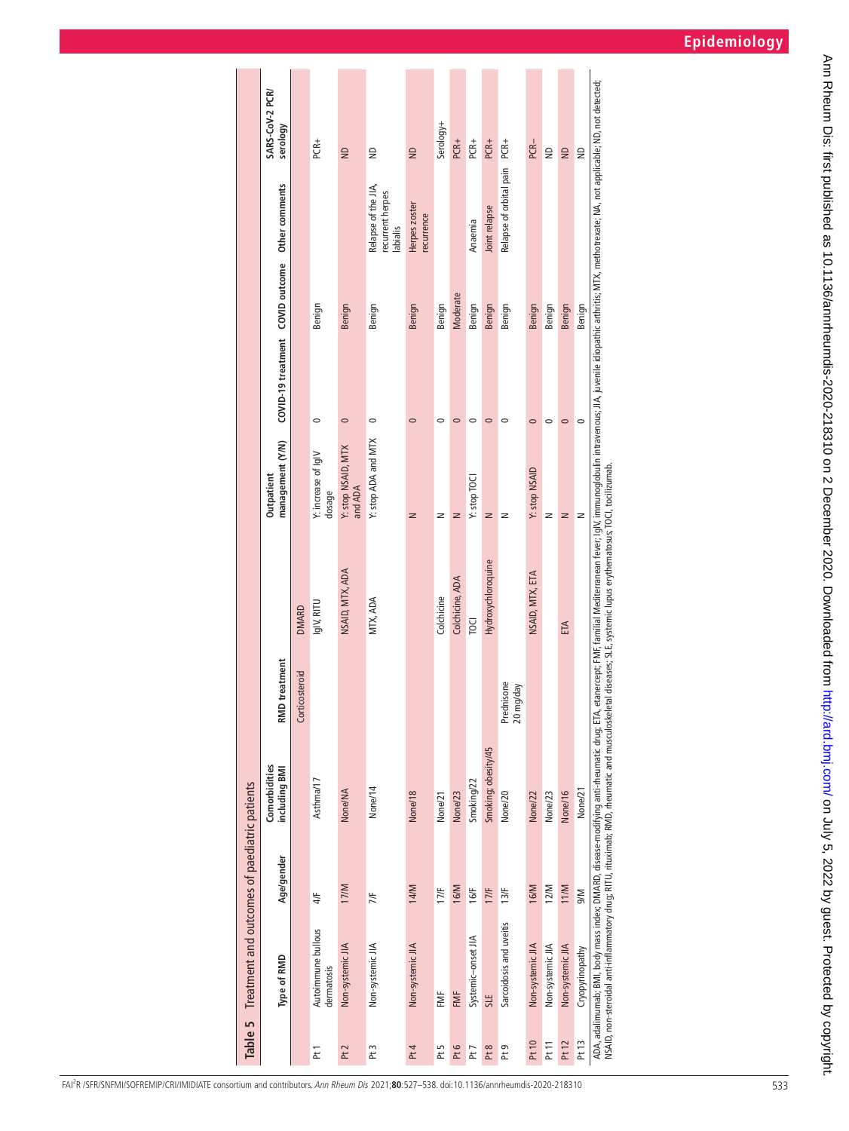| Table 5         | Treatment and outcomes of paediatric patients |            |                                |                         |                                                                                                                                                                                                                                                                                                                                                                                                    |                                |                                                 |          |                                                     |                             |
|-----------------|-----------------------------------------------|------------|--------------------------------|-------------------------|----------------------------------------------------------------------------------------------------------------------------------------------------------------------------------------------------------------------------------------------------------------------------------------------------------------------------------------------------------------------------------------------------|--------------------------------|-------------------------------------------------|----------|-----------------------------------------------------|-----------------------------|
|                 | Type of RMD                                   | Age/gender | Comorbidities<br>including BMI | treatment<br><b>RMD</b> |                                                                                                                                                                                                                                                                                                                                                                                                    | management (Y/N)<br>Outpatient | COVID-19 treatment COVID outcome Other comments |          |                                                     | SARS-CoV-2 PCR/<br>serology |
|                 |                                               |            |                                | Corticosteroid          | <b>DMARD</b>                                                                                                                                                                                                                                                                                                                                                                                       |                                |                                                 |          |                                                     |                             |
| $\overline{t}$  | Autoimmune bullous<br>dermatosis              | 4/5        | Asthma/17                      |                         | IgIV, RITU                                                                                                                                                                                                                                                                                                                                                                                         | Y: increase of IgIV<br>dosage  | $\circ$                                         | Benign   |                                                     | PCR+                        |
| Pt <sub>2</sub> | Non-systemic JIA                              | 17/M       | <b>None/NA</b>                 |                         | NSAID, MTX, ADA                                                                                                                                                                                                                                                                                                                                                                                    | Y: stop NSAID, MTX<br>and ADA  | $\circ$                                         | Benign   |                                                     | $\triangleq$                |
| Pt <sub>3</sub> | Non-systemic JIA                              | 7/F        | None/14                        |                         | MTX, ADA                                                                                                                                                                                                                                                                                                                                                                                           | Y: stop ADA and MTX            | $\circ$                                         | Benign   | Relapse of the JIA,<br>recurrent herpes<br>labialis | $\trianglerighteq$          |
| Pt 4            | Non-systemic JIA                              | 14/M       | None/18                        |                         |                                                                                                                                                                                                                                                                                                                                                                                                    | z                              | $\overline{C}$                                  | Benign   | Herpes zoster<br>recurrence                         | $\trianglerighteq$          |
| Pt 5            | FMF                                           | 17/F       | None/21                        |                         | Colchicine                                                                                                                                                                                                                                                                                                                                                                                         | z                              | $\circ$                                         | Benign   |                                                     | Serology+                   |
| Pt 6            | FMF                                           | 16/M       | None/23                        |                         | Colchicine, ADA                                                                                                                                                                                                                                                                                                                                                                                    | z                              | $\overline{\phantom{0}}$                        | Moderate |                                                     | PCR+                        |
| Pt 7            | Systemic-onset JIA                            | 16/F       | Smoking/22                     |                         | TOCI                                                                                                                                                                                                                                                                                                                                                                                               | Y: stop TOCI                   | 0                                               | Benign   | Anaemia                                             | PCR+                        |
| Pt 8            | <b>SLE</b>                                    | 17/F       | Smoking; obesity/45            |                         | Hydroxychloroquine                                                                                                                                                                                                                                                                                                                                                                                 | z                              | $\circ$                                         | Benign   | Joint relapse                                       | PCR+                        |
| Pt <sub>9</sub> | Sarcoidosis and uveitis                       | 13/F       | None/20                        | Prednisone<br>20 mg/day |                                                                                                                                                                                                                                                                                                                                                                                                    | z                              | 0                                               | Benign   | Relapse of orbital pain                             | PCR+                        |
| Pt 10           | Non-systemic JIA                              | 16/M       | None/22                        |                         | NSAID, MTX, ETA                                                                                                                                                                                                                                                                                                                                                                                    | Y: stop NSAID                  | $\circ$                                         | Benign   |                                                     | PCR-                        |
| Pt 11           | Non-systemic JIA                              | 12/M       | None/23                        |                         |                                                                                                                                                                                                                                                                                                                                                                                                    | z                              | $\circ$                                         | Benign   |                                                     | $\supseteq$                 |
| Pt 12           | Non-systemic JIA                              | 11/M       | None/16                        |                         | ETA                                                                                                                                                                                                                                                                                                                                                                                                | z                              | $\circ$                                         | Benign   |                                                     | $\supseteq$                 |
| Pt 13           | Cryopyrinopathy                               | M/6        | None/21                        |                         |                                                                                                                                                                                                                                                                                                                                                                                                    | z                              | $\circ$                                         | Benign   |                                                     | $\supseteq$                 |
|                 |                                               |            |                                |                         | ADA, adalimumab; BMI, body mass index; DMARD, disease-modifying anti-theumatic drug: ETA, etanercept; FMF, familial Mediterranean fever; IgN, immunoglobulin intravenous; JIA, juvenile idiopathic arthritis; MTX, methotreate<br>NSAID, non-steroidal anti-inflammatory drug; RITU, rituximab; RMD, rheumatic and musculoskeletal diseases; SLE, systemic lupus erythematosus; TOCI, tocilizumab. |                                |                                                 |          |                                                     |                             |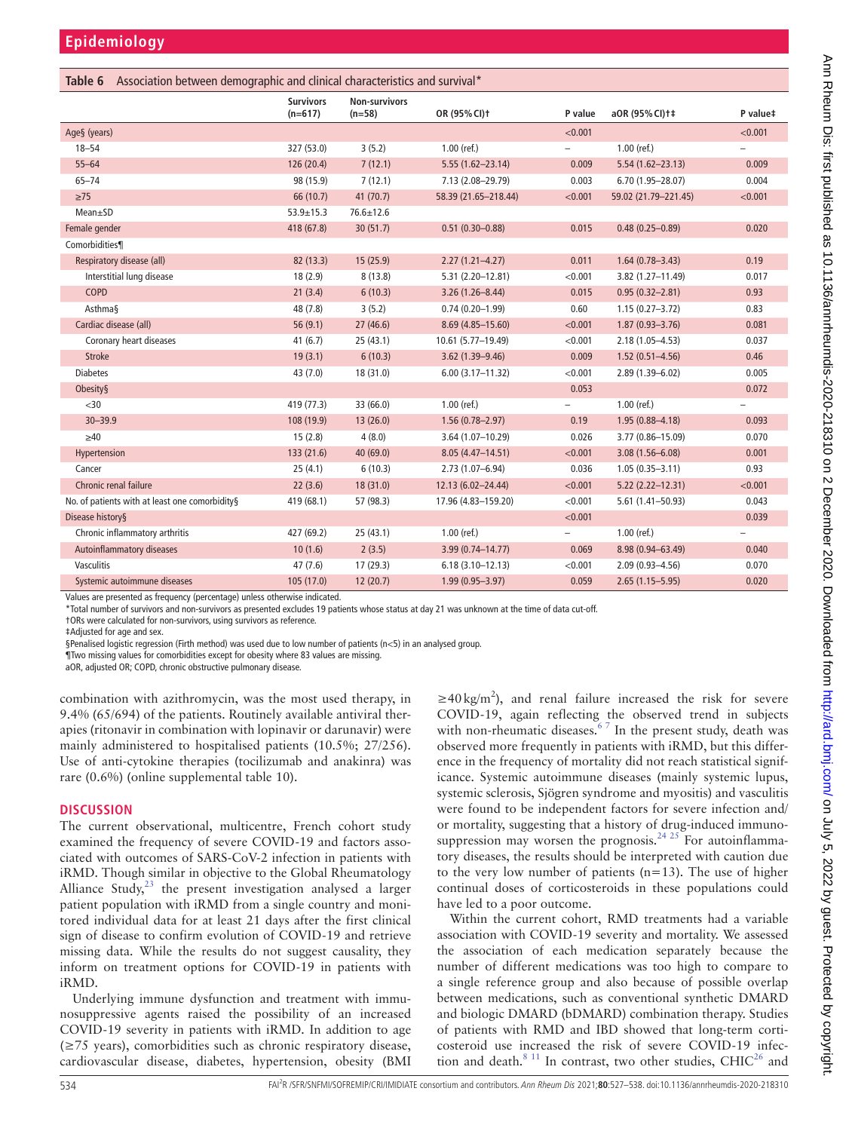| Association between demographic and clinical characteristics and survival*<br>Table 6                      |                               |                                  |                      |                          |                      |          |
|------------------------------------------------------------------------------------------------------------|-------------------------------|----------------------------------|----------------------|--------------------------|----------------------|----------|
|                                                                                                            | <b>Survivors</b><br>$(n=617)$ | <b>Non-survivors</b><br>$(n=58)$ | OR (95% CI) t        | P value                  | aOR (95% CI)+‡       | P value‡ |
| Age§ (years)                                                                                               |                               |                                  |                      | < 0.001                  |                      | < 0.001  |
| $18 - 54$                                                                                                  | 327 (53.0)                    | 3(5.2)                           | $1.00$ (ref.)        | $\overline{\phantom{0}}$ | $1.00$ (ref.)        |          |
| $55 - 64$                                                                                                  | 126 (20.4)                    | 7(12.1)                          | $5.55(1.62 - 23.14)$ | 0.009                    | $5.54(1.62 - 23.13)$ | 0.009    |
| $65 - 74$                                                                                                  | 98 (15.9)                     | 7(12.1)                          | 7.13 (2.08-29.79)    | 0.003                    | $6.70(1.95 - 28.07)$ | 0.004    |
| $\geq$ 75                                                                                                  | 66 (10.7)                     | 41 (70.7)                        | 58.39 (21.65-218.44) | < 0.001                  | 59.02 (21.79-221.45) | < 0.001  |
| $Mean \pm SD$                                                                                              | $53.9 \pm 15.3$               | 76.6±12.6                        |                      |                          |                      |          |
| Female gender                                                                                              | 418 (67.8)                    | 30(51.7)                         | $0.51(0.30 - 0.88)$  | 0.015                    | $0.48(0.25 - 0.89)$  | 0.020    |
| Comorbidities¶                                                                                             |                               |                                  |                      |                          |                      |          |
| Respiratory disease (all)                                                                                  | 82 (13.3)                     | 15(25.9)                         | $2.27(1.21 - 4.27)$  | 0.011                    | $1.64(0.78 - 3.43)$  | 0.19     |
| Interstitial lung disease                                                                                  | 18(2.9)                       | 8(13.8)                          | 5.31 (2.20-12.81)    | < 0.001                  | 3.82 (1.27-11.49)    | 0.017    |
| COPD                                                                                                       | 21(3.4)                       | 6(10.3)                          | $3.26(1.26 - 8.44)$  | 0.015                    | $0.95(0.32 - 2.81)$  | 0.93     |
| Asthma§                                                                                                    | 48 (7.8)                      | 3(5.2)                           | $0.74(0.20 - 1.99)$  | 0.60                     | $1.15(0.27 - 3.72)$  | 0.83     |
| Cardiac disease (all)                                                                                      | 56(9.1)                       | 27(46.6)                         | $8.69(4.85 - 15.60)$ | < 0.001                  | $1.87(0.93 - 3.76)$  | 0.081    |
| Coronary heart diseases                                                                                    | 41(6.7)                       | 25(43.1)                         | 10.61 (5.77-19.49)   | < 0.001                  | $2.18(1.05 - 4.53)$  | 0.037    |
| <b>Stroke</b>                                                                                              | 19(3.1)                       | 6(10.3)                          | $3.62(1.39 - 9.46)$  | 0.009                    | $1.52(0.51 - 4.56)$  | 0.46     |
| <b>Diabetes</b>                                                                                            | 43(7.0)                       | 18 (31.0)                        | $6.00(3.17 - 11.32)$ | < 0.001                  | $2.89(1.39 - 6.02)$  | 0.005    |
| Obesity§                                                                                                   |                               |                                  |                      | 0.053                    |                      | 0.072    |
| $30$                                                                                                       | 419 (77.3)                    | 33 (66.0)                        | $1.00$ (ref.)        | -                        | $1.00$ (ref.)        |          |
| $30 - 39.9$                                                                                                | 108 (19.9)                    | 13(26.0)                         | $1.56(0.78 - 2.97)$  | 0.19                     | $1.95(0.88 - 4.18)$  | 0.093    |
| $\geq 40$                                                                                                  | 15(2.8)                       | 4(8.0)                           | 3.64 (1.07-10.29)    | 0.026                    | 3.77 (0.86-15.09)    | 0.070    |
| Hypertension                                                                                               | 133 (21.6)                    | 40 (69.0)                        | 8.05 (4.47-14.51)    | < 0.001                  | $3.08(1.56 - 6.08)$  | 0.001    |
| Cancer                                                                                                     | 25(4.1)                       | 6(10.3)                          | $2.73(1.07 - 6.94)$  | 0.036                    | $1.05(0.35 - 3.11)$  | 0.93     |
| Chronic renal failure                                                                                      | 22(3.6)                       | 18 (31.0)                        | 12.13 (6.02-24.44)   | < 0.001                  | $5.22(2.22 - 12.31)$ | < 0.001  |
| No. of patients with at least one comorbidity§                                                             | 419 (68.1)                    | 57 (98.3)                        | 17.96 (4.83-159.20)  | < 0.001                  | $5.61(1.41 - 50.93)$ | 0.043    |
| Disease history§                                                                                           |                               |                                  |                      | < 0.001                  |                      | 0.039    |
| Chronic inflammatory arthritis                                                                             | 427 (69.2)                    | 25(43.1)                         | $1.00$ (ref.)        | $\overline{\phantom{0}}$ | 1.00 (ref.)          |          |
| Autoinflammatory diseases                                                                                  | 10(1.6)                       | 2(3.5)                           | $3.99(0.74 - 14.77)$ | 0.069                    | 8.98 (0.94-63.49)    | 0.040    |
| Vasculitis                                                                                                 | 47(7.6)                       | 17 (29.3)                        | $6.18(3.10 - 12.13)$ | < 0.001                  | $2.09(0.93 - 4.56)$  | 0.070    |
| Systemic autoimmune diseases<br>Volues are presented as frequency (perceptions) uplace otherwise indicated | 105 (17.0)                    | 12(20.7)                         | $1.99(0.95 - 3.97)$  | 0.059                    | $2.65(1.15 - 5.95)$  | 0.020    |

\*Total number of survivors and non-survivors as presented excludes 19 patients whose status at day 21 was unknown at the time of data cut-off.

†ORs were calculated for non-survivors, using survivors as reference.

‡Adjusted for age and sex.

§Penalised logistic regression (Firth method) was used due to low number of patients (n<5) in an analysed group.

¶Two missing values for comorbidities except for obesity where 83 values are missing.

aOR, adjusted OR; COPD, chronic obstructive pulmonary disease.

combination with azithromycin, was the most used therapy, in 9.4% (65/694) of the patients. Routinely available antiviral therapies (ritonavir in combination with lopinavir or darunavir) were mainly administered to hospitalised patients (10.5%; 27/256). Use of anti-cytokine therapies (tocilizumab and anakinra) was rare (0.6%) (online supplemental table 10).

#### **Discussion**

The current observational, multicentre, French cohort study examined the frequency of severe COVID-19 and factors associated with outcomes of SARS-CoV-2 infection in patients with iRMD. Though similar in objective to the Global Rheumatology Alliance Study, $23$  the present investigation analysed a larger patient population with iRMD from a single country and monitored individual data for at least 21 days after the first clinical sign of disease to confirm evolution of COVID-19 and retrieve missing data. While the results do not suggest causality, they inform on treatment options for COVID-19 in patients with iRMD.

Underlying immune dysfunction and treatment with immunosuppressive agents raised the possibility of an increased COVID-19 severity in patients with iRMD. In addition to age (≥75 years), comorbidities such as chronic respiratory disease, cardiovascular disease, diabetes, hypertension, obesity (BMI

 $\geq$  40 kg/m<sup>2</sup>), and renal failure increased the risk for severe COVID-19, again reflecting the observed trend in subjects with non-rheumatic diseases.<sup>67</sup> In the present study, death was observed more frequently in patients with iRMD, but this difference in the frequency of mortality did not reach statistical significance. Systemic autoimmune diseases (mainly systemic lupus, systemic sclerosis, Sjögren syndrome and myositis) and vasculitis were found to be independent factors for severe infection and/ or mortality, suggesting that a history of drug-induced immunosuppression may worsen the prognosis.<sup>24 25</sup> For autoinflammatory diseases, the results should be interpreted with caution due to the very low number of patients  $(n=13)$ . The use of higher continual doses of corticosteroids in these populations could have led to a poor outcome.

Within the current cohort, RMD treatments had a variable association with COVID-19 severity and mortality. We assessed the association of each medication separately because the number of different medications was too high to compare to a single reference group and also because of possible overlap between medications, such as conventional synthetic DMARD and biologic DMARD (bDMARD) combination therapy. Studies of patients with RMD and IBD showed that long-term corticosteroid use increased the risk of severe COVID-19 infection and death. $811$  In contrast, two other studies, CHIC<sup>26</sup> and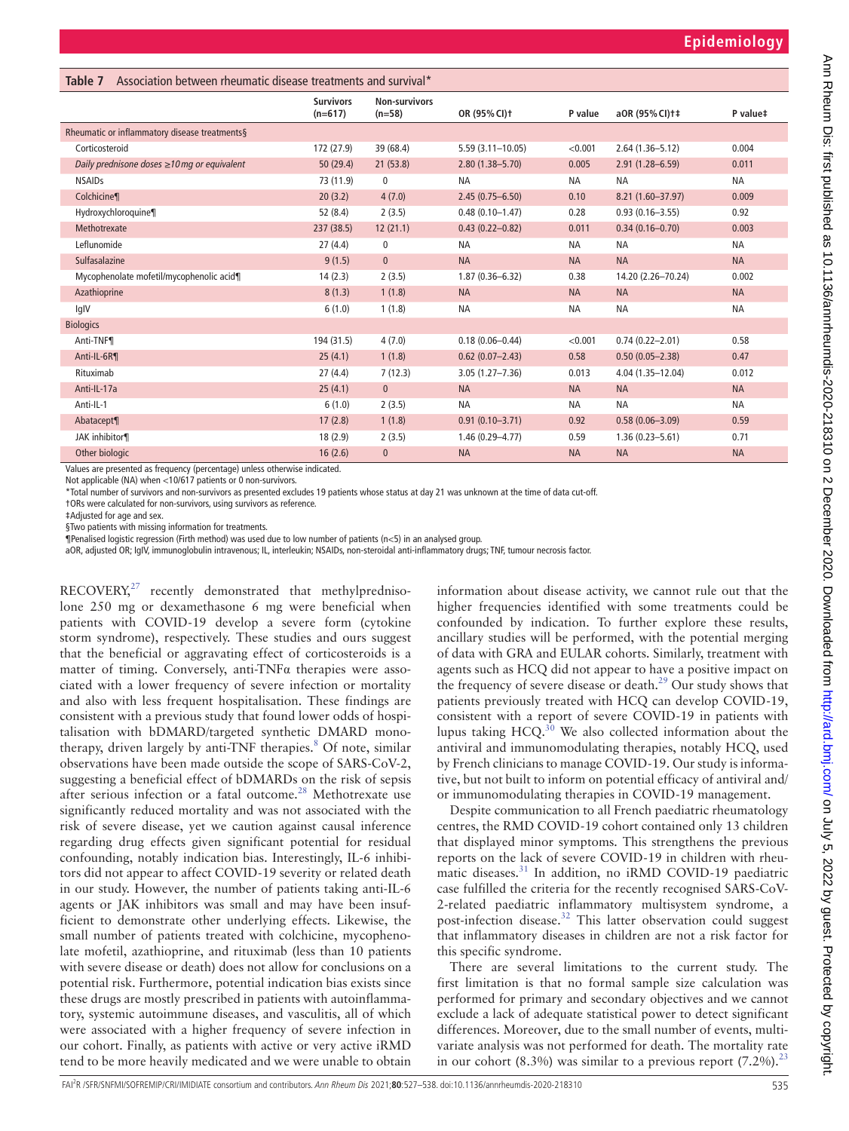| Association between rheumatic disease treatments and survival*<br>Table 7 |                               |                                  |                          |           |                     |           |  |  |  |  |
|---------------------------------------------------------------------------|-------------------------------|----------------------------------|--------------------------|-----------|---------------------|-----------|--|--|--|--|
|                                                                           | <b>Survivors</b><br>$(n=617)$ | <b>Non-survivors</b><br>$(n=58)$ | OR (95% CI) <sup>+</sup> | P value   | aOR (95% CI)+‡      | P value‡  |  |  |  |  |
| Rheumatic or inflammatory disease treatments§                             |                               |                                  |                          |           |                     |           |  |  |  |  |
| Corticosteroid                                                            | 172 (27.9)                    | 39 (68.4)                        | $5.59(3.11 - 10.05)$     | < 0.001   | $2.64(1.36 - 5.12)$ | 0.004     |  |  |  |  |
| Daily prednisone doses $\geq 10$ mg or equivalent                         | 50(29.4)                      | 21(53.8)                         | $2.80(1.38 - 5.70)$      | 0.005     | $2.91(1.28 - 6.59)$ | 0.011     |  |  |  |  |
| <b>NSAIDs</b>                                                             | 73 (11.9)                     | $\mathbf 0$                      | <b>NA</b>                | <b>NA</b> | <b>NA</b>           | <b>NA</b> |  |  |  |  |
| Colchicine¶                                                               | 20(3.2)                       | 4(7.0)                           | $2.45(0.75 - 6.50)$      | 0.10      | 8.21 (1.60-37.97)   | 0.009     |  |  |  |  |
| Hydroxychloroquine¶                                                       | 52 (8.4)                      | 2(3.5)                           | $0.48(0.10 - 1.47)$      | 0.28      | $0.93(0.16 - 3.55)$ | 0.92      |  |  |  |  |
| Methotrexate                                                              | 237(38.5)                     | 12(21.1)                         | $0.43(0.22 - 0.82)$      | 0.011     | $0.34(0.16 - 0.70)$ | 0.003     |  |  |  |  |
| Leflunomide                                                               | 27(4.4)                       | $\mathbf 0$                      | <b>NA</b>                | <b>NA</b> | <b>NA</b>           | <b>NA</b> |  |  |  |  |
| Sulfasalazine                                                             | 9(1.5)                        | $\mathbf{0}$                     | <b>NA</b>                | <b>NA</b> | <b>NA</b>           | <b>NA</b> |  |  |  |  |
| Mycophenolate mofetil/mycophenolic acid¶                                  | 14(2.3)                       | 2(3.5)                           | $1.87(0.36 - 6.32)$      | 0.38      | 14.20 (2.26-70.24)  | 0.002     |  |  |  |  |
| Azathioprine                                                              | 8(1.3)                        | 1(1.8)                           | <b>NA</b>                | <b>NA</b> | <b>NA</b>           | <b>NA</b> |  |  |  |  |
| lgIV                                                                      | 6(1.0)                        | 1(1.8)                           | <b>NA</b>                | <b>NA</b> | <b>NA</b>           | <b>NA</b> |  |  |  |  |
| <b>Biologics</b>                                                          |                               |                                  |                          |           |                     |           |  |  |  |  |
| Anti-TNF¶                                                                 | 194 (31.5)                    | 4(7.0)                           | $0.18(0.06 - 0.44)$      | < 0.001   | $0.74(0.22 - 2.01)$ | 0.58      |  |  |  |  |
| Anti-IL-6R¶                                                               | 25(4.1)                       | 1(1.8)                           | $0.62(0.07 - 2.43)$      | 0.58      | $0.50(0.05 - 2.38)$ | 0.47      |  |  |  |  |
| Rituximab                                                                 | 27(4.4)                       | 7(12.3)                          | $3.05(1.27 - 7.36)$      | 0.013     | 4.04 (1.35-12.04)   | 0.012     |  |  |  |  |
| Anti-IL-17a                                                               | 25(4.1)                       | $\mathbf{0}$                     | <b>NA</b>                | <b>NA</b> | <b>NA</b>           | <b>NA</b> |  |  |  |  |
| Anti-IL-1                                                                 | 6(1.0)                        | 2(3.5)                           | <b>NA</b>                | <b>NA</b> | <b>NA</b>           | <b>NA</b> |  |  |  |  |
| Abatacept¶                                                                | 17(2.8)                       | 1(1.8)                           | $0.91(0.10 - 3.71)$      | 0.92      | $0.58(0.06 - 3.09)$ | 0.59      |  |  |  |  |
| JAK inhibitor¶                                                            | 18(2.9)                       | 2(3.5)                           | $1.46(0.29 - 4.77)$      | 0.59      | $1.36(0.23 - 5.61)$ | 0.71      |  |  |  |  |
| Other biologic                                                            | 16(2.6)                       | $\mathbf{0}$                     | <b>NA</b>                | <b>NA</b> | <b>NA</b>           | <b>NA</b> |  |  |  |  |

Not applicable (NA) when <10/617 patients or 0 non-survivors.

\*Total number of survivors and non-survivors as presented excludes 19 patients whose status at day 21 was unknown at the time of data cut-off.

†ORs were calculated for non-survivors, using survivors as reference.

‡Adjusted for age and sex.

§Two patients with missing information for treatments.

¶Penalised logistic regression (Firth method) was used due to low number of patients (n<5) in an analysed group.

aOR, adjusted OR; IgIV, immunoglobulin intravenous; IL, interleukin; NSAIDs, non-steroidal anti-inflammatory drugs; TNF, tumour necrosis factor.

RECOVERY,<sup>27</sup> recently demonstrated that methylprednisolone 250 mg or dexamethasone 6 mg were beneficial when patients with COVID-19 develop a severe form (cytokine storm syndrome), respectively. These studies and ours suggest that the beneficial or aggravating effect of corticosteroids is a matter of timing. Conversely, anti-TNFα therapies were associated with a lower frequency of severe infection or mortality and also with less frequent hospitalisation. These findings are consistent with a previous study that found lower odds of hospitalisation with bDMARD/targeted synthetic DMARD monotherapy, driven largely by anti-TNF therapies.<sup>8</sup> Of note, similar observations have been made outside the scope of SARS-CoV-2, suggesting a beneficial effect of bDMARDs on the risk of sepsis after serious infection or a fatal outcome.<sup>28</sup> Methotrexate use significantly reduced mortality and was not associated with the risk of severe disease, yet we caution against causal inference regarding drug effects given significant potential for residual confounding, notably indication bias. Interestingly, IL-6 inhibitors did not appear to affect COVID-19 severity or related death in our study. However, the number of patients taking anti-IL-6 agents or JAK inhibitors was small and may have been insufficient to demonstrate other underlying effects. Likewise, the small number of patients treated with colchicine, mycophenolate mofetil, azathioprine, and rituximab (less than 10 patients with severe disease or death) does not allow for conclusions on a potential risk. Furthermore, potential indication bias exists since these drugs are mostly prescribed in patients with autoinflammatory, systemic autoimmune diseases, and vasculitis, all of which were associated with a higher frequency of severe infection in our cohort. Finally, as patients with active or very active iRMD tend to be more heavily medicated and we were unable to obtain

information about disease activity, we cannot rule out that the higher frequencies identified with some treatments could be confounded by indication. To further explore these results, ancillary studies will be performed, with the potential merging of data with GRA and EULAR cohorts. Similarly, treatment with agents such as HCQ did not appear to have a positive impact on the frequency of severe disease or death.29 Our study shows that patients previously treated with HCQ can develop COVID-19, consistent with a report of severe COVID-19 in patients with lupus taking HCQ.<sup>30</sup> We also collected information about the antiviral and immunomodulating therapies, notably HCQ, used by French clinicians to manage COVID-19. Our study is informative, but not built to inform on potential efficacy of antiviral and/ or immunomodulating therapies in COVID-19 management.

Despite communication to all French paediatric rheumatology centres, the RMD COVID-19 cohort contained only 13 children that displayed minor symptoms. This strengthens the previous reports on the lack of severe COVID-19 in children with rheumatic diseases.<sup>31</sup> In addition, no iRMD COVID-19 paediatric case fulfilled the criteria for the recently recognised SARS-CoV-2-related paediatric inflammatory multisystem syndrome, a post-infection disease.<sup>32</sup> This latter observation could suggest that inflammatory diseases in children are not a risk factor for this specific syndrome.

There are several limitations to the current study. The first limitation is that no formal sample size calculation was performed for primary and secondary objectives and we cannot exclude a lack of adequate statistical power to detect significant differences. Moreover, due to the small number of events, multivariate analysis was not performed for death. The mortality rate in our cohort (8.3%) was similar to a previous report (7.2%).<sup>23</sup>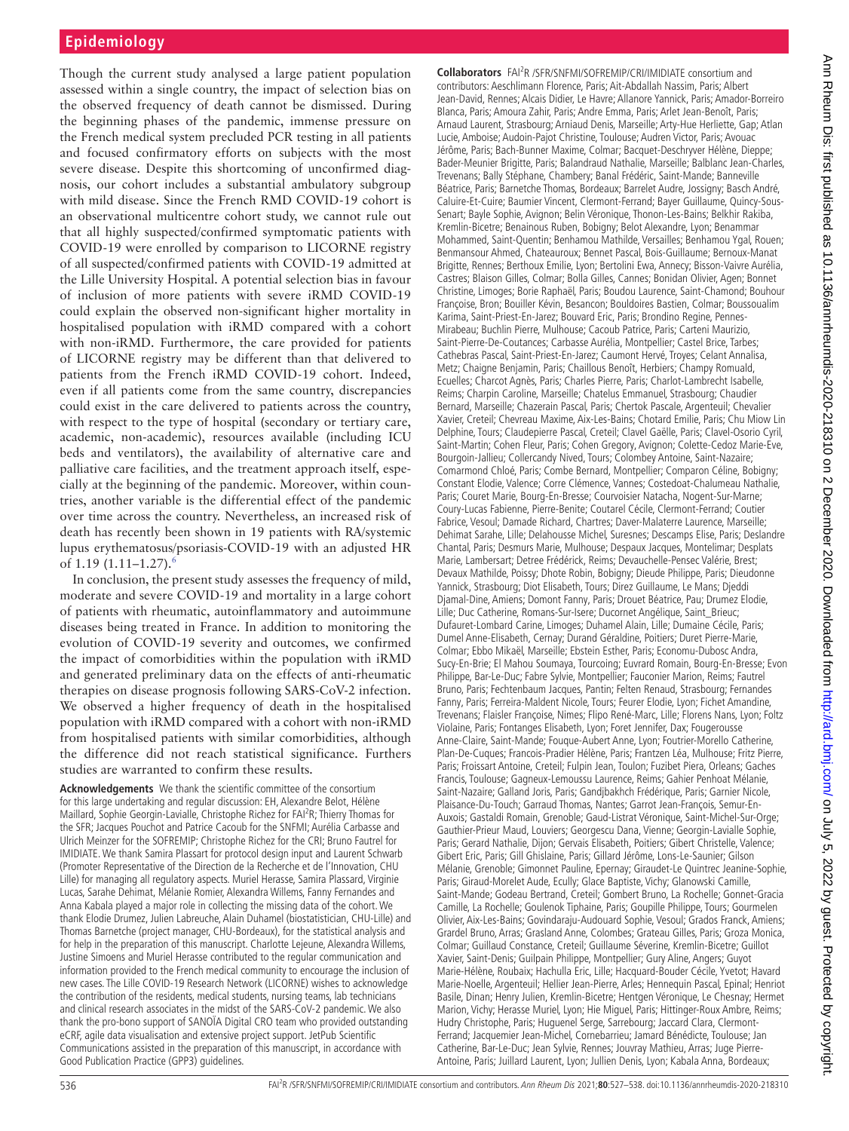Though the current study analysed a large patient population assessed within a single country, the impact of selection bias on the observed frequency of death cannot be dismissed. During the beginning phases of the pandemic, immense pressure on the French medical system precluded PCR testing in all patients and focused confirmatory efforts on subjects with the most severe disease. Despite this shortcoming of unconfirmed diagnosis, our cohort includes a substantial ambulatory subgroup with mild disease. Since the French RMD COVID-19 cohort is an observational multicentre cohort study, we cannot rule out that all highly suspected/confirmed symptomatic patients with COVID-19 were enrolled by comparison to LICORNE registry of all suspected/confirmed patients with COVID-19 admitted at the Lille University Hospital. A potential selection bias in favour of inclusion of more patients with severe iRMD COVID-19 could explain the observed non-significant higher mortality in hospitalised population with iRMD compared with a cohort with non-iRMD. Furthermore, the care provided for patients of LICORNE registry may be different than that delivered to patients from the French iRMD COVID-19 cohort. Indeed, even if all patients come from the same country, discrepancies could exist in the care delivered to patients across the country, with respect to the type of hospital (secondary or tertiary care, academic, non-academic), resources available (including ICU beds and ventilators), the availability of alternative care and palliative care facilities, and the treatment approach itself, especially at the beginning of the pandemic. Moreover, within countries, another variable is the differential effect of the pandemic over time across the country. Nevertheless, an increased risk of death has recently been shown in 19 patients with RA/systemic lupus erythematosus/psoriasis-COVID-19 with an adjusted HR of 1.19  $(1.11-1.27)$ .<sup>6</sup>

In conclusion, the present study assesses the frequency of mild, moderate and severe COVID-19 and mortality in a large cohort of patients with rheumatic, autoinflammatory and autoimmune diseases being treated in France. In addition to monitoring the evolution of COVID-19 severity and outcomes, we confirmed the impact of comorbidities within the population with iRMD and generated preliminary data on the effects of anti-rheumatic therapies on disease prognosis following SARS-CoV-2 infection. We observed a higher frequency of death in the hospitalised population with iRMD compared with a cohort with non-iRMD from hospitalised patients with similar comorbidities, although the difference did not reach statistical significance. Furthers studies are warranted to confirm these results.

**Acknowledgements** We thank the scientific committee of the consortium for this large undertaking and regular discussion: EH, Alexandre Belot, Hélène Maillard, Sophie Georgin-Lavialle, Christophe Richez for FAI<sup>2</sup>R; Thierry Thomas for the SFR; Jacques Pouchot and Patrice Cacoub for the SNFMI; Aurélia Carbasse and Ulrich Meinzer for the SOFREMIP; Christophe Richez for the CRI; Bruno Fautrel for IMIDIATE. We thank Samira Plassart for protocol design input and Laurent Schwarb (Promoter Representative of the Direction de la Recherche et de l'Innovation, CHU Lille) for managing all regulatory aspects. Muriel Herasse, Samira Plassard, Virginie Lucas, Sarahe Dehimat, Mélanie Romier, Alexandra Willems, Fanny Fernandes and Anna Kabala played a major role in collecting the missing data of the cohort. We thank Elodie Drumez, Julien Labreuche, Alain Duhamel (biostatistician, CHU-Lille) and Thomas Barnetche (project manager, CHU-Bordeaux), for the statistical analysis and for help in the preparation of this manuscript. Charlotte Lejeune, Alexandra Willems, Justine Simoens and Muriel Herasse contributed to the regular communication and information provided to the French medical community to encourage the inclusion of new cases. The Lille COVID-19 Research Network (LICORNE) wishes to acknowledge the contribution of the residents, medical students, nursing teams, lab technicians and clinical research associates in the midst of the SARS-CoV-2 pandemic. We also thank the pro-bono support of SANOÏA Digital CRO team who provided outstanding eCRF, agile data visualisation and extensive project support. JetPub Scientific Communications assisted in the preparation of this manuscript, in accordance with Good Publication Practice (GPP3) guidelines.

**Collaborators** FAI<sup>2</sup>R /SFR/SNFMI/SOFREMIP/CRI/IMIDIATE consortium and contributors: Aeschlimann Florence, Paris; Ait-Abdallah Nassim, Paris; Albert Jean-David, Rennes; Alcais Didier, Le Havre; Allanore Yannick, Paris; Amador-Borreiro Blanca, Paris; Amoura Zahir, Paris; Andre Emma, Paris; Arlet Jean-Benoît, Paris; Arnaud Laurent, Strasbourg; Arniaud Denis, Marseille; Arty-Hue Herliette, Gap; Atlan Lucie, Amboise; Audoin-Pajot Christine, Toulouse; Audren Victor, Paris; Avouac Jérôme, Paris; Bach-Bunner Maxime, Colmar; Bacquet-Deschryver Hélène, Dieppe; Bader-Meunier Brigitte, Paris; Balandraud Nathalie, Marseille; Balblanc Jean-Charles, Trevenans; Bally Stéphane, Chambery; Banal Frédéric, Saint-Mande; Banneville Béatrice, Paris; Barnetche Thomas, Bordeaux; Barrelet Audre, Jossigny; Basch André, Caluire-Et-Cuire; Baumier Vincent, Clermont-Ferrand; Bayer Guillaume, Quincy-Sous-Senart; Bayle Sophie, Avignon; Belin Véronique, Thonon-Les-Bains; Belkhir Rakiba, Kremlin-Bicetre; Benainous Ruben, Bobigny; Belot Alexandre, Lyon; Benammar Mohammed, Saint-Quentin; Benhamou Mathilde, Versailles; Benhamou Ygal, Rouen; Benmansour Ahmed, Chateauroux; Bennet Pascal, Bois-Guillaume; Bernoux-Manat Brigitte, Rennes; Berthoux Emilie, Lyon; Bertolini Ewa, Annecy; Bisson-Vaivre Aurélia, Castres; Blaison Gilles, Colmar; Bolla Gilles, Cannes; Bonidan Olivier, Agen; Bonnet Christine, Limoges; Borie Raphaël, Paris; Boudou Laurence, Saint-Chamond; Bouhour Françoise, Bron; Bouiller Kévin, Besancon; Bouldoires Bastien, Colmar; Boussoualim Karima, Saint-Priest-En-Jarez; Bouvard Eric, Paris; Brondino Regine, Pennes-Mirabeau; Buchlin Pierre, Mulhouse; Cacoub Patrice, Paris; Carteni Maurizio, Saint-Pierre-De-Coutances; Carbasse Aurélia, Montpellier; Castel Brice, Tarbes; Cathebras Pascal, Saint-Priest-En-Jarez; Caumont Hervé, Troyes; Celant Annalisa, Metz; Chaigne Benjamin, Paris; Chaillous Benoît, Herbiers; Champy Romuald, Ecuelles; Charcot Agnès, Paris; Charles Pierre, Paris; Charlot-Lambrecht Isabelle, Reims; Charpin Caroline, Marseille; Chatelus Emmanuel, Strasbourg; Chaudier Bernard, Marseille; Chazerain Pascal, Paris; Chertok Pascale, Argenteuil; Chevalier Xavier, Creteil; Chevreau Maxime, Aix-Les-Bains; Chotard Emilie, Paris; Chu Miow Lin Delphine, Tours; Claudepierre Pascal, Creteil; Clavel Gaëlle, Paris; Clavel-Osorio Cyril, Saint-Martin; Cohen Fleur, Paris; Cohen Gregory, Avignon; Colette-Cedoz Marie-Eve, Bourgoin-Jallieu; Collercandy Nived, Tours; Colombey Antoine, Saint-Nazaire; Comarmond Chloé, Paris; Combe Bernard, Montpellier; Comparon Céline, Bobigny; Constant Elodie, Valence; Corre Clémence, Vannes; Costedoat-Chalumeau Nathalie, Paris; Couret Marie, Bourg-En-Bresse; Courvoisier Natacha, Nogent-Sur-Marne; Coury-Lucas Fabienne, Pierre-Benite; Coutarel Cécile, Clermont-Ferrand; Coutier Fabrice, Vesoul; Damade Richard, Chartres; Daver-Malaterre Laurence, Marseille; Dehimat Sarahe, Lille; Delahousse Michel, Suresnes; Descamps Elise, Paris; Deslandre Chantal, Paris; Desmurs Marie, Mulhouse; Despaux Jacques, Montelimar; Desplats Marie, Lambersart; Detree Frédérick, Reims; Devauchelle-Pensec Valérie, Brest; Devaux Mathilde, Poissy; Dhote Robin, Bobigny; Dieude Philippe, Paris; Dieudonne Yannick, Strasbourg; Diot Elisabeth, Tours; Direz Guillaume, Le Mans; Djeddi Djamal-Dine, Amiens; Domont Fanny, Paris; Drouet Béatrice, Pau; Drumez Elodie, Lille; Duc Catherine, Romans-Sur-Isere; Ducornet Angélique, Saint\_Brieuc; Dufauret-Lombard Carine, Limoges; Duhamel Alain, Lille; Dumaine Cécile, Paris; Dumel Anne-Elisabeth, Cernay; Durand Géraldine, Poitiers; Duret Pierre-Marie, Colmar; Ebbo Mikaël, Marseille; Ebstein Esther, Paris; Economu-Dubosc Andra, Sucy-En-Brie; El Mahou Soumaya, Tourcoing; Euvrard Romain, Bourg-En-Bresse; Evon Philippe, Bar-Le-Duc; Fabre Sylvie, Montpellier; Fauconier Marion, Reims; Fautrel Bruno, Paris; Fechtenbaum Jacques, Pantin; Felten Renaud, Strasbourg; Fernandes Fanny, Paris; Ferreira-Maldent Nicole, Tours; Feurer Elodie, Lyon; Fichet Amandine, Trevenans; Flaisler Françoise, Nimes; Flipo René-Marc, Lille; Florens Nans, Lyon; Foltz Violaine, Paris; Fontanges Elisabeth, Lyon; Foret Jennifer, Dax; Fougerousse Anne-Claire, Saint-Mande; Fouque-Aubert Anne, Lyon; Foutrier-Morello Catherine, Plan-De-Cuques; Francois-Pradier Hélène, Paris; Frantzen Léa, Mulhouse; Fritz Pierre, Paris; Froissart Antoine, Creteil; Fulpin Jean, Toulon; Fuzibet Piera, Orleans; Gaches Francis, Toulouse; Gagneux-Lemoussu Laurence, Reims; Gahier Penhoat Mélanie, Saint-Nazaire; Galland Joris, Paris; Gandjbakhch Frédérique, Paris; Garnier Nicole, Plaisance-Du-Touch; Garraud Thomas, Nantes; Garrot Jean-François, Semur-En-Auxois; Gastaldi Romain, Grenoble; Gaud-Listrat Véronique, Saint-Michel-Sur-Orge; Gauthier-Prieur Maud, Louviers; Georgescu Dana, Vienne; Georgin-Lavialle Sophie, Paris; Gerard Nathalie, Dijon; Gervais Elisabeth, Poitiers; Gibert Christelle, Valence; Gibert Eric, Paris; Gill Ghislaine, Paris; Gillard Jérôme, Lons-Le-Saunier; Gilson Mélanie, Grenoble; Gimonnet Pauline, Epernay; Giraudet-Le Quintrec Jeanine-Sophie, Paris; Giraud-Morelet Aude, Ecully; Glace Baptiste, Vichy; Glanowski Camille, Saint-Mande; Godeau Bertrand, Creteil; Gombert Bruno, La Rochelle; Gonnet-Gracia Camille, La Rochelle; Goulenok Tiphaine, Paris; Goupille Philippe, Tours; Gourmelen Olivier, Aix-Les-Bains; Govindaraju-Audouard Sophie, Vesoul; Grados Franck, Amiens; Grardel Bruno, Arras; Grasland Anne, Colombes; Grateau Gilles, Paris; Groza Monica, Colmar; Guillaud Constance, Creteil; Guillaume Séverine, Kremlin-Bicetre; Guillot Xavier, Saint-Denis; Guilpain Philippe, Montpellier; Gury Aline, Angers; Guyot Marie-Hélène, Roubaix; Hachulla Eric, Lille; Hacquard-Bouder Cécile, Yvetot; Havard Marie-Noelle, Argenteuil; Hellier Jean-Pierre, Arles; Hennequin Pascal, Epinal; Henriot Basile, Dinan; Henry Julien, Kremlin-Bicetre; Hentgen Véronique, Le Chesnay; Hermet Marion, Vichy; Herasse Muriel, Lyon; Hie Miguel, Paris; Hittinger-Roux Ambre, Reims; Hudry Christophe, Paris; Huguenel Serge, Sarrebourg; Jaccard Clara, Clermont-Ferrand; Jacquemier Jean-Michel, Cornebarrieu; Jamard Bénédicte, Toulouse; Jan Catherine, Bar-Le-Duc; Jean Sylvie, Rennes; Jouvray Mathieu, Arras; Juge Pierre-Antoine, Paris; Juillard Laurent, Lyon; Jullien Denis, Lyon; Kabala Anna, Bordeaux;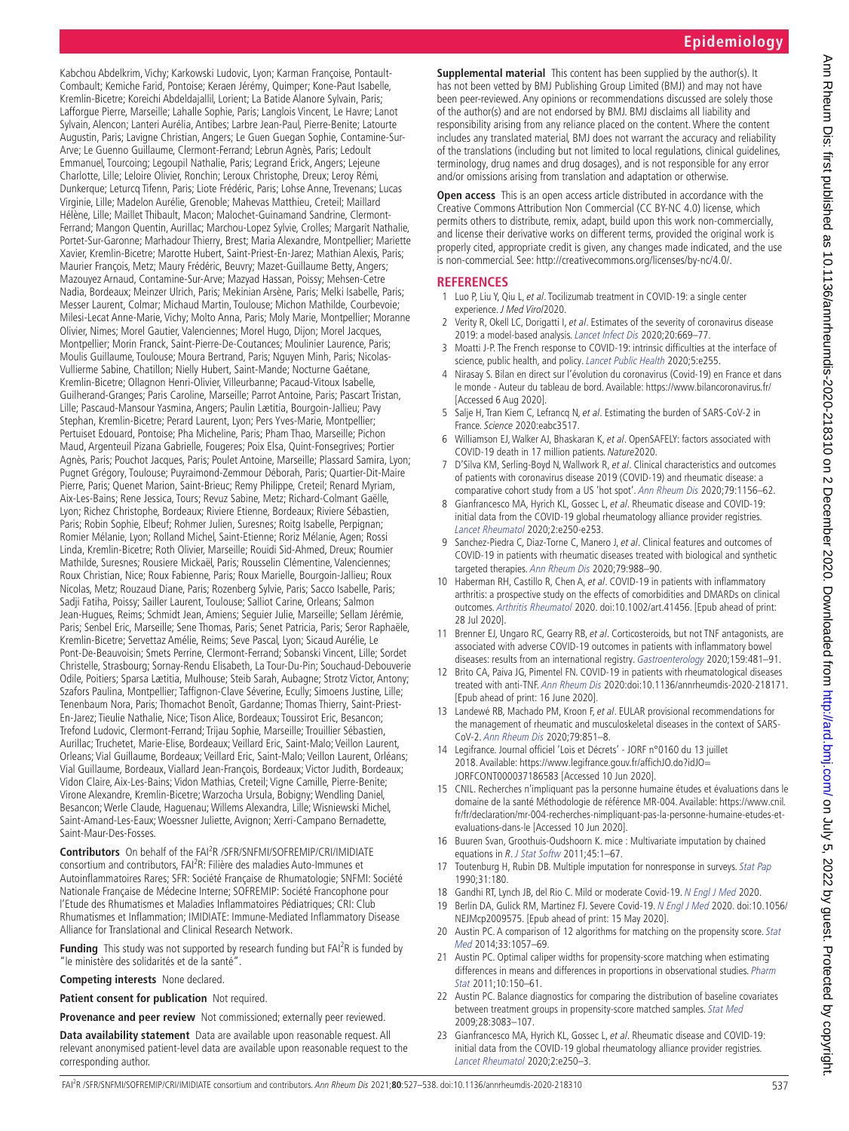Kabchou Abdelkrim, Vichy; Karkowski Ludovic, Lyon; Karman Françoise, Pontault-Combault; Kemiche Farid, Pontoise; Keraen Jérémy, Quimper; Kone-Paut Isabelle, Kremlin-Bicetre; Koreichi Abdeldajallil, Lorient; La Batide Alanore Sylvain, Paris; Lafforgue Pierre, Marseille; Lahalle Sophie, Paris; Langlois Vincent, Le Havre; Lanot Sylvain, Alencon; Lanteri Aurélia, Antibes; Larbre Jean-Paul, Pierre-Benite; Latourte Augustin, Paris; Lavigne Christian, Angers; Le Guen Guegan Sophie, Contamine-Sur-Arve; Le Guenno Guillaume, Clermont-Ferrand; Lebrun Agnès, Paris; Ledoult Emmanuel, Tourcoing; Legoupil Nathalie, Paris; Legrand Erick, Angers; Lejeune Charlotte, Lille; Leloire Olivier, Ronchin; Leroux Christophe, Dreux; Leroy Rémi, Dunkerque; Leturcq Tifenn, Paris; Liote Frédéric, Paris; Lohse Anne, Trevenans; Lucas Virginie, Lille; Madelon Aurélie, Grenoble; Mahevas Matthieu, Creteil; Maillard Hélène, Lille; Maillet Thibault, Macon; Malochet-Guinamand Sandrine, Clermont-Ferrand; Mangon Quentin, Aurillac; Marchou-Lopez Sylvie, Crolles; Margarit Nathalie, Portet-Sur-Garonne; Marhadour Thierry, Brest; Maria Alexandre, Montpellier; Mariette Xavier, Kremlin-Bicetre; Marotte Hubert, Saint-Priest-En-Jarez; Mathian Alexis, Paris; Maurier François, Metz; Maury Frédéric, Beuvry; Mazet-Guillaume Betty, Angers; Mazouyez Arnaud, Contamine-Sur-Arve; Mazyad Hassan, Poissy; Mehsen-Cetre Nadia, Bordeaux; Meinzer Ulrich, Paris; Mekinian Arsène, Paris; Melki Isabelle, Paris; Messer Laurent, Colmar; Michaud Martin, Toulouse; Michon Mathilde, Courbevoie; Milesi-Lecat Anne-Marie, Vichy; Molto Anna, Paris; Moly Marie, Montpellier; Moranne Olivier, Nimes; Morel Gautier, Valenciennes; Morel Hugo, Dijon; Morel Jacques, Montpellier; Morin Franck, Saint-Pierre-De-Coutances; Moulinier Laurence, Paris; Moulis Guillaume, Toulouse; Moura Bertrand, Paris; Nguyen Minh, Paris; Nicolas-Vullierme Sabine, Chatillon; Nielly Hubert, Saint-Mande; Nocturne Gaétane, Kremlin-Bicetre; Ollagnon Henri-Olivier, Villeurbanne; Pacaud-Vitoux Isabelle, Guilherand-Granges; Paris Caroline, Marseille; Parrot Antoine, Paris; Pascart Tristan, Lille; Pascaud-Mansour Yasmina, Angers; Paulin Lætitia, Bourgoin-Jallieu; Pavy Stephan, Kremlin-Bicetre; Perard Laurent, Lyon; Pers Yves-Marie, Montpellier; Pertuiset Edouard, Pontoise; Pha Micheline, Paris; Pham Thao, Marseille; Pichon Maud, Argenteuil Pizana Gabrielle, Fougeres; Poix Elsa, Quint-Fonsegrives; Portier Agnès, Paris; Pouchot Jacques, Paris; Poulet Antoine, Marseille; Plassard Samira, Lyon; Pugnet Grégory, Toulouse; Puyraimond-Zemmour Déborah, Paris; Quartier-Dit-Maire Pierre, Paris; Quenet Marion, Saint-Brieuc; Remy Philippe, Creteil; Renard Myriam, Aix-Les-Bains; Rene Jessica, Tours; Revuz Sabine, Metz; Richard-Colmant Gaëlle, Lyon; Richez Christophe, Bordeaux; Riviere Etienne, Bordeaux; Riviere Sébastien, Paris; Robin Sophie, Elbeuf; Rohmer Julien, Suresnes; Roitg Isabelle, Perpignan; Romier Mélanie, Lyon; Rolland Michel, Saint-Etienne; Roriz Mélanie, Agen; Rossi Linda, Kremlin-Bicetre; Roth Olivier, Marseille; Rouidi Sid-Ahmed, Dreux; Roumier Mathilde, Suresnes; Rousiere Mickaël, Paris; Rousselin Clémentine, Valenciennes; Roux Christian, Nice; Roux Fabienne, Paris; Roux Marielle, Bourgoin-Jallieu; Roux Nicolas, Metz; Rouzaud Diane, Paris; Rozenberg Sylvie, Paris; Sacco Isabelle, Paris; Sadji Fatiha, Poissy; Sailler Laurent, Toulouse; Salliot Carine, Orleans; Salmon Jean-Hugues, Reims; Schmidt Jean, Amiens; Seguier Julie, Marseille; Sellam Jérémie, Paris; Senbel Eric, Marseille; Sene Thomas, Paris; Senet Patricia, Paris; Seror Raphaële, Kremlin-Bicetre; Servettaz Amélie, Reims; Seve Pascal, Lyon; Sicaud Aurélie, Le Pont-De-Beauvoisin; Smets Perrine, Clermont-Ferrand; Sobanski Vincent, Lille; Sordet Christelle, Strasbourg; Sornay-Rendu Elisabeth, La Tour-Du-Pin; Souchaud-Debouverie Odile, Poitiers; Sparsa Lætitia, Mulhouse; Steib Sarah, Aubagne; Strotz Victor, Antony; Szafors Paulina, Montpellier; Taffignon-Clave Séverine, Ecully; Simoens Justine, Lille; Tenenbaum Nora, Paris; Thomachot Benoît, Gardanne; Thomas Thierry, Saint-Priest-En-Jarez; Tieulie Nathalie, Nice; Tison Alice, Bordeaux; Toussirot Eric, Besancon; Trefond Ludovic, Clermont-Ferrand; Trijau Sophie, Marseille; Trouillier Sébastien, Aurillac; Truchetet, Marie-Elise, Bordeaux; Veillard Eric, Saint-Malo; Veillon Laurent, Orleans; Vial Guillaume, Bordeaux; Veillard Eric, Saint-Malo; Veillon Laurent, Orléans; Vial Guillaume, Bordeaux, Viallard Jean-François, Bordeaux; Victor Judith, Bordeaux; Vidon Claire, Aix-Les-Bains; Vidon Mathias, Creteil; Vigne Camille, Pierre-Benite; Virone Alexandre, Kremlin-Bicetre; Warzocha Ursula, Bobigny; Wendling Daniel, Besancon; Werle Claude, Haguenau; Willems Alexandra, Lille; Wisniewski Michel, Saint-Amand-Les-Eaux; Woessner Juliette, Avignon; Xerri-Campano Bernadette, Saint-Maur-Des-Fosses.

**Contributors** On behalf of the FAI<sup>2</sup> R /SFR/SNFMI/SOFREMIP/CRI/IMIDIATE consortium and contributors, FAI<sup>2</sup>R: Filière des maladies Auto-Immunes et Autoinflammatoires Rares; SFR: Société Française de Rhumatologie; SNFMI: Société Nationale Française de Médecine Interne; SOFREMIP: Société Francophone pour l'Etude des Rhumatismes et Maladies Inflammatoires Pédiatriques; CRI: Club Rhumatismes et Inflammation; IMIDIATE: Immune-Mediated Inflammatory Disease Alliance for Translational and Clinical Research Network.

**Funding** This study was not supported by research funding but FAI<sup>2</sup>R is funded by "le ministère des solidarités et de la santé".

**Competing interests** None declared.

**Patient consent for publication** Not required.

**Provenance and peer review** Not commissioned; externally peer reviewed.

**Data availability statement** Data are available upon reasonable request. All relevant anonymised patient-level data are available upon reasonable request to the corresponding author.

**Supplemental material** This content has been supplied by the author(s). It has not been vetted by BMJ Publishing Group Limited (BMJ) and may not have been peer-reviewed. Any opinions or recommendations discussed are solely those of the author(s) and are not endorsed by BMJ. BMJ disclaims all liability and responsibility arising from any reliance placed on the content. Where the content includes any translated material, BMJ does not warrant the accuracy and reliability of the translations (including but not limited to local regulations, clinical guidelines, terminology, drug names and drug dosages), and is not responsible for any error and/or omissions arising from translation and adaptation or otherwise.

**Open access** This is an open access article distributed in accordance with the Creative Commons Attribution Non Commercial (CC BY-NC 4.0) license, which permits others to distribute, remix, adapt, build upon this work non-commercially, and license their derivative works on different terms, provided the original work is properly cited, appropriate credit is given, any changes made indicated, and the use is non-commercial. See: http://creativecommons.org/licenses/by-nc/4.0/.

#### **References**

- 1 Luo P, Liu Y, Qiu L, et al. Tocilizumab treatment in COVID-19: a single center experience. J Med Virol2020.
- 2 Verity R, Okell LC, Dorigatti I, et al. Estimates of the severity of coronavirus disease 2019: a model-based analysis. Lancet Infect Dis 2020;20:669–77.
- 3 Moatti J-P. The French response to COVID-19: intrinsic difficulties at the interface of science, public health, and policy. Lancet Public Health 2020;5:e255.
- 4 Nirasay S. Bilan en direct sur l'évolution du coronavirus (Covid-19) en France et dans le monde - Auteur du tableau de bord. Available: https://www.bilancoronavirus.fr/ [Accessed 6 Aug 2020].
- 5 Salje H, Tran Kiem C, Lefrancq N, et al. Estimating the burden of SARS-CoV-2 in France. Science 2020:eabc3517.
- 6 Williamson EJ, Walker AJ, Bhaskaran K, et al. OpenSAFELY: factors associated with COVID-19 death in 17 million patients. Nature2020.
- 7 D'Silva KM, Serling-Boyd N, Wallwork R, et al. Clinical characteristics and outcomes of patients with coronavirus disease 2019 (COVID-19) and rheumatic disease: a comparative cohort study from a US 'hot spot'. Ann Rheum Dis 2020;79:1156–62.
- 8 Gianfrancesco MA, Hyrich KL, Gossec L, et al. Rheumatic disease and COVID-19: initial data from the COVID-19 global rheumatology alliance provider registries. Lancet Rheumatol 2020;2:e250-e253.
- 9 Sanchez-Piedra C, Diaz-Torne C, Manero J, et al. Clinical features and outcomes of COVID-19 in patients with rheumatic diseases treated with biological and synthetic targeted therapies. Ann Rheum Dis 2020;79:988–90.
- 10 Haberman RH, Castillo R, Chen A, et al. COVID-19 in patients with inflammatory arthritis: a prospective study on the effects of comorbidities and DMARDs on clinical outcomes. Arthritis Rheumatol 2020. doi:10.1002/art.41456. [Epub ahead of print: 28 Jul 2020].
- 11 Brenner EJ, Ungaro RC, Gearry RB, et al. Corticosteroids, but not TNF antagonists, are associated with adverse COVID-19 outcomes in patients with inflammatory bowel diseases: results from an international registry. Gastroenterology 2020;159:481–91.
- 12 Brito CA, Paiva JG, Pimentel FN. COVID-19 in patients with rheumatological diseases treated with anti-TNF. Ann Rheum Dis 2020:doi:10.1136/annrheumdis-2020-218171. [Epub ahead of print: 16 June 2020].
- 13 Landewé RB, Machado PM, Kroon F, et al. EULAR provisional recommendations for the management of rheumatic and musculoskeletal diseases in the context of SARS-CoV-2. Ann Rheum Dis 2020;79:851–8.
- 14 Legifrance. Journal officiel 'Lois et Décrets' JORF n°0160 du 13 juillet 2018. Available: https://www.legifrance.gouv.fr/affichJO.do?idJO= JORFCONT000037186583 [Accessed 10 Jun 2020].
- 15 CNIL. Recherches n'impliquant pas la personne humaine études et évaluations dans le domaine de la santé Méthodologie de référence MR-004. Available: https://www.cnil. fr/fr/declaration/mr-004-recherches-nimpliquant-pas-la-personne-humaine-etudes-etevaluations-dans-le [Accessed 10 Jun 2020].
- 16 Buuren Svan, Groothuis-Oudshoorn K. mice : Multivariate imputation by chained equations in R. J Stat Softw 2011;45:1–67.
- 17 Toutenburg H, Rubin DB. Multiple imputation for nonresponse in surveys. Stat Pap 1990;31:180.
- 18 Gandhi RT, Lynch JB, del Rio C. Mild or moderate Covid-19. N Engl J Med 2020.
- 19 Berlin DA, Gulick RM, Martinez FJ. Severe Covid-19. N Engl J Med 2020. doi:10.1056/
- NEJMcp2009575. [Epub ahead of print: 15 May 2020]. 20 Austin PC. A comparison of 12 algorithms for matching on the propensity score. Stat Med 2014;33:1057–69.
- 21 Austin PC. Optimal caliper widths for propensity-score matching when estimating differences in means and differences in proportions in observational studies. Pharm Stat 2011;10:150–61.
- 22 Austin PC. Balance diagnostics for comparing the distribution of baseline covariates between treatment groups in propensity-score matched samples. Stat Med 2009;28:3083–107.
- 23 Gianfrancesco MA, Hyrich KL, Gossec L, et al. Rheumatic disease and COVID-19: initial data from the COVID-19 global rheumatology alliance provider registries. Lancet Rheumatol 2020;2:e250–3.